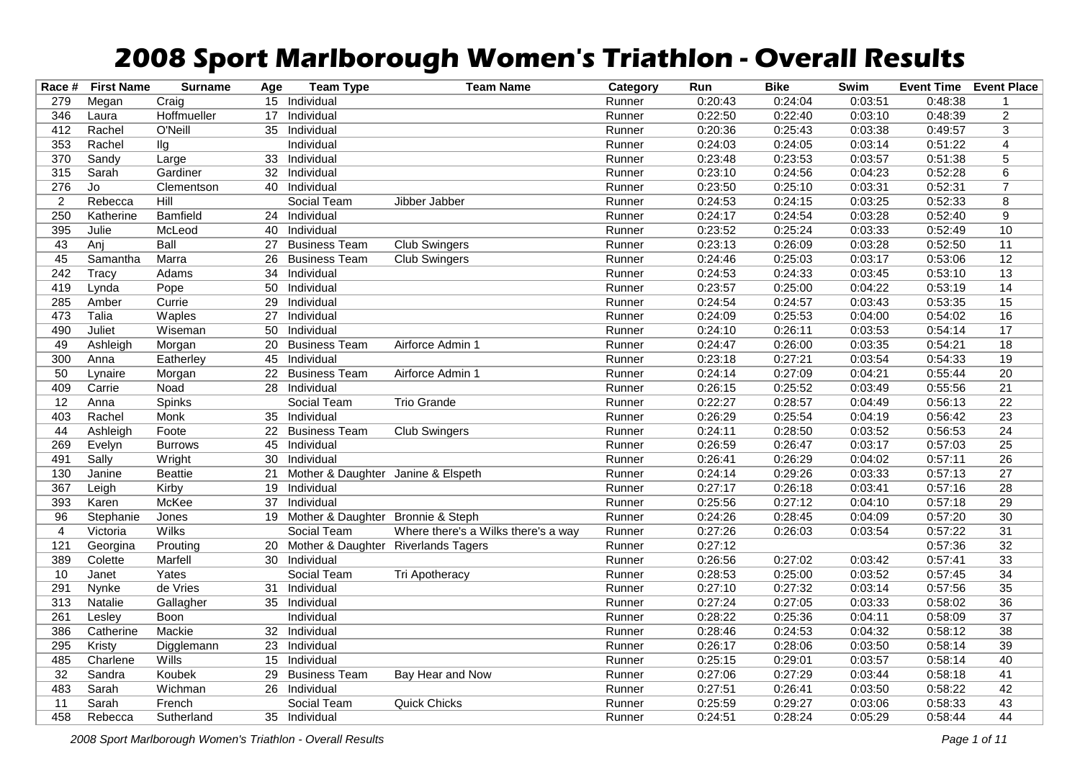## **2008 Sport Marlborough Women's Triathlon - Overall Results**

| Race #          | <b>First Name</b> | <b>Surname</b>  | Age             | <b>Team Type</b>                     | <b>Team Name</b>                    | Category | Run     | <b>Bike</b> | Swim    | <b>Event Time Event Place</b> |                 |
|-----------------|-------------------|-----------------|-----------------|--------------------------------------|-------------------------------------|----------|---------|-------------|---------|-------------------------------|-----------------|
| 279             | Megan             | Craig           |                 | 15 Individual                        |                                     | Runner   | 0:20:43 | 0:24:04     | 0:03:51 | 0:48:38                       | -1              |
| 346             | Laura             | Hoffmueller     |                 | 17 Individual                        |                                     | Runner   | 0:22:50 | 0:22:40     | 0:03:10 | 0:48:39                       | $\overline{2}$  |
| 412             | Rachel            | O'Neill         |                 | 35 Individual                        |                                     | Runner   | 0:20:36 | 0:25:43     | 0:03:38 | 0:49:57                       | $\overline{3}$  |
| 353             | Rachel            | llg             |                 | Individual                           |                                     | Runner   | 0:24:03 | 0:24:05     | 0:03:14 | 0:51:22                       | $\overline{4}$  |
| 370             | Sandy             | Large           | 33              | Individual                           |                                     | Runner   | 0:23:48 | 0:23:53     | 0:03:57 | 0:51:38                       | $\overline{5}$  |
| 315             | Sarah             | Gardiner        |                 | 32 Individual                        |                                     | Runner   | 0:23:10 | 0:24:56     | 0:04:23 | 0:52:28                       | $\overline{6}$  |
| 276             | Jo                | Clementson      |                 | 40 Individual                        |                                     | Runner   | 0:23:50 | 0:25:10     | 0:03:31 | 0:52:31                       | $\overline{7}$  |
| $\overline{2}$  | Rebecca           | Hill            |                 | Social Team                          | Jibber Jabber                       | Runner   | 0:24:53 | 0:24:15     | 0:03:25 | 0:52:33                       | 8               |
| 250             | Katherine         | <b>Bamfield</b> |                 | 24 Individual                        |                                     | Runner   | 0:24:17 | 0:24:54     | 0:03:28 | 0:52:40                       | $\overline{9}$  |
| 395             | Julie             | McLeod          | 40              | Individual                           |                                     | Runner   | 0:23:52 | 0:25:24     | 0:03:33 | 0:52:49                       | 10              |
| 43              | Anj               | Ball            | 27              | <b>Business Team</b>                 | <b>Club Swingers</b>                | Runner   | 0:23:13 | 0:26:09     | 0:03:28 | 0:52:50                       | 11              |
| 45              | Samantha          | Marra           | 26              | <b>Business Team</b>                 | Club Swingers                       | Runner   | 0:24:46 | 0:25:03     | 0:03:17 | 0:53:06                       | 12              |
| 242             | Tracy             | Adams           | 34              | Individual                           |                                     | Runner   | 0:24:53 | 0:24:33     | 0:03:45 | 0:53:10                       | $\overline{13}$ |
| 419             | Lynda             | Pope            | 50              | Individual                           |                                     | Runner   | 0:23:57 | 0:25:00     | 0:04:22 | 0:53:19                       | $\overline{14}$ |
| 285             | Amber             | Currie          | 29              | Individual                           |                                     | Runner   | 0:24:54 | 0:24:57     | 0:03:43 | 0:53:35                       | $\overline{15}$ |
| 473             | Talia             | Waples          | 27              | Individual                           |                                     | Runner   | 0:24:09 | 0:25:53     | 0:04:00 | 0:54:02                       | 16              |
| 490             | Juliet            | Wiseman         | 50              | Individual                           |                                     | Runner   | 0:24:10 | 0:26:11     | 0:03:53 | 0:54:14                       | 17              |
| 49              | Ashleigh          | Morgan          | 20              | <b>Business Team</b>                 | Airforce Admin 1                    | Runner   | 0:24:47 | 0:26:00     | 0:03:35 | 0:54:21                       | $\overline{18}$ |
| 300             | Anna              | Eatherley       | 45              | Individual                           |                                     | Runner   | 0:23:18 | 0:27:21     | 0:03:54 | 0:54:33                       | $\overline{19}$ |
| 50              | Lynaire           | Morgan          |                 | 22 Business Team                     | Airforce Admin 1                    | Runner   | 0:24:14 | 0:27:09     | 0:04:21 | 0:55:44                       | 20              |
| 409             | Carrie            | Noad            |                 | 28 Individual                        |                                     | Runner   | 0:26:15 | 0:25:52     | 0:03:49 | 0:55:56                       | $\overline{21}$ |
| 12              | Anna              | Spinks          |                 | Social Team                          | <b>Trio Grande</b>                  | Runner   | 0:22:27 | 0:28:57     | 0:04:49 | 0:56:13                       | $\overline{22}$ |
| 403             | Rachel            | Monk            | 35              | Individual                           |                                     | Runner   | 0:26:29 | 0:25:54     | 0:04:19 | 0:56:42                       | $\overline{23}$ |
| 44              | Ashleigh          | Foote           | 22              | <b>Business Team</b>                 | <b>Club Swingers</b>                | Runner   | 0:24:11 | 0:28:50     | 0:03:52 | 0:56:53                       | $\overline{24}$ |
| 269             | Evelyn            | <b>Burrows</b>  | 45              | Individual                           |                                     | Runner   | 0:26:59 | 0:26:47     | 0:03:17 | 0:57:03                       | $\overline{25}$ |
| 491             | Sally             | Wright          | 30              | Individual                           |                                     | Runner   | 0:26:41 | 0:26:29     | 0:04:02 | 0:57:11                       | $\overline{26}$ |
| 130             | Janine            | <b>Beattie</b>  | $\overline{21}$ | Mother & Daughter Janine & Elspeth   |                                     | Runner   | 0:24:14 | 0:29:26     | 0:03:33 | 0:57:13                       | $\overline{27}$ |
| 367             | Leigh             | Kirby           | 19              | Individual                           |                                     | Runner   | 0:27:17 | 0:26:18     | 0:03:41 | 0:57:16                       | $\overline{28}$ |
| 393             | Karen             | McKee           | 37              | Individual                           |                                     | Runner   | 0:25:56 | 0:27:12     | 0:04:10 | 0:57:18                       | 29              |
| 96              | Stephanie         | Jones           |                 | 19 Mother & Daughter Bronnie & Steph |                                     | Runner   | 0:24:26 | 0:28:45     | 0:04:09 | 0:57:20                       | $\overline{30}$ |
| $\overline{4}$  | Victoria          | <b>Wilks</b>    |                 | Social Team                          | Where there's a Wilks there's a way | Runner   | 0:27:26 | 0:26:03     | 0:03:54 | 0:57:22                       | 31              |
| 121             | Georgina          | Prouting        | 20              | Mother & Daughter Riverlands Tagers  |                                     | Runner   | 0:27:12 |             |         | 0:57:36                       | 32              |
| 389             | Colette           | Marfell         | 30              | Individual                           |                                     | Runner   | 0:26:56 | 0:27:02     | 0:03:42 | 0:57:41                       | $\overline{33}$ |
| 10              | Janet             | Yates           |                 | Social Team                          | Tri Apotheracy                      | Runner   | 0:28:53 | 0:25:00     | 0:03:52 | 0:57:45                       | 34              |
| 291             | Nynke             | de Vries        | 31              | Individual                           |                                     | Runner   | 0:27:10 | 0:27:32     | 0:03:14 | 0:57:56                       | $\overline{35}$ |
| 313             | Natalie           | Gallagher       |                 | 35 Individual                        |                                     | Runner   | 0:27:24 | 0:27:05     | 0:03:33 | 0:58:02                       | $\overline{36}$ |
| 261             | Lesley            | Boon            |                 | Individual                           |                                     | Runner   | 0:28:22 | 0:25:36     | 0:04:11 | 0:58:09                       | $\overline{37}$ |
| 386             | Catherine         | Mackie          | 32              | Individual                           |                                     | Runner   | 0:28:46 | 0:24:53     | 0:04:32 | 0:58:12                       | $\overline{38}$ |
| 295             | Kristy            | Digglemann      |                 | 23 Individual                        |                                     | Runner   | 0:26:17 | 0:28:06     | 0:03:50 | 0:58:14                       | 39              |
| 485             | Charlene          | Wills           |                 | 15 Individual                        |                                     | Runner   | 0:25:15 | 0:29:01     | 0:03:57 | 0:58:14                       | 40              |
| $\overline{32}$ | Sandra            | Koubek          | 29              | <b>Business Team</b>                 | Bay Hear and Now                    | Runner   | 0:27:06 | 0:27:29     | 0:03:44 | 0:58:18                       | 41              |
| 483             | Sarah             | Wichman         |                 | 26 Individual                        |                                     | Runner   | 0:27:51 | 0:26:41     | 0:03:50 | 0:58:22                       | 42              |
| 11              | Sarah             | French          |                 | Social Team                          | Quick Chicks                        | Runner   | 0:25:59 | 0:29:27     | 0:03:06 | 0:58:33                       | 43              |
| 458             | Rebecca           | Sutherland      |                 | 35 Individual                        |                                     | Runner   | 0:24:51 | 0:28:24     | 0:05:29 | 0:58:44                       | $\overline{44}$ |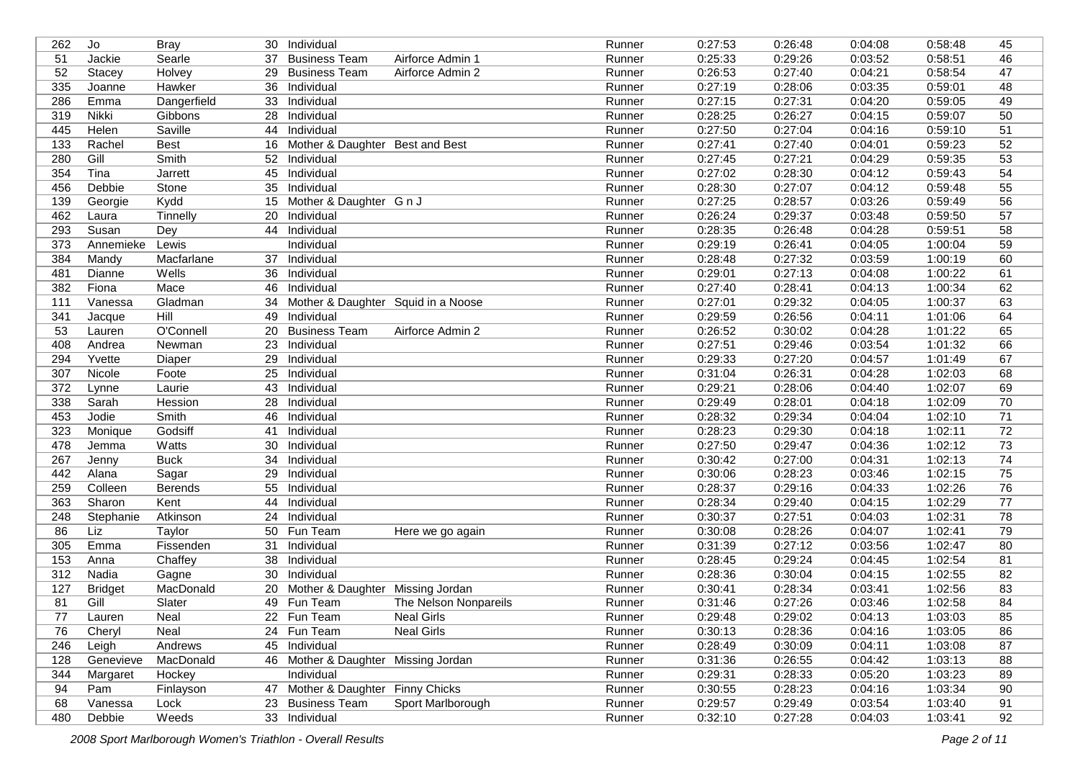| 262 | Jo             | <b>Bray</b>    | 30 | Individual                          |                       | Runner | 0:27:53 | 0:26:48 | 0:04:08 | 0:58:48 | 45              |
|-----|----------------|----------------|----|-------------------------------------|-----------------------|--------|---------|---------|---------|---------|-----------------|
| 51  | Jackie         | Searle         | 37 | <b>Business Team</b>                | Airforce Admin 1      | Runner | 0:25:33 | 0:29:26 | 0:03:52 | 0:58:51 | 46              |
| 52  | Stacey         | Holvey         | 29 | <b>Business Team</b>                | Airforce Admin 2      | Runner | 0:26:53 | 0:27:40 | 0:04:21 | 0:58:54 | 47              |
| 335 | Joanne         | Hawker         | 36 | Individual                          |                       | Runner | 0:27:19 | 0:28:06 | 0:03:35 | 0:59:01 | 48              |
| 286 | Emma           | Dangerfield    | 33 | Individual                          |                       | Runner | 0:27:15 | 0:27:31 | 0:04:20 | 0:59:05 | 49              |
| 319 | Nikki          | Gibbons        | 28 | Individual                          |                       | Runner | 0:28:25 | 0:26:27 | 0:04:15 | 0:59:07 | 50              |
| 445 | Helen          | Saville        | 44 | Individual                          |                       | Runner | 0:27:50 | 0:27:04 | 0:04:16 | 0:59:10 | 51              |
| 133 | Rachel         | <b>Best</b>    | 16 | Mother & Daughter Best and Best     |                       | Runner | 0:27:41 | 0:27:40 | 0:04:01 | 0:59:23 | 52              |
| 280 | Gill           | Smith          | 52 | Individual                          |                       | Runner | 0:27:45 | 0:27:21 | 0:04:29 | 0:59:35 | 53              |
| 354 | Tina           | Jarrett        | 45 | Individual                          |                       | Runner | 0:27:02 | 0:28:30 | 0:04:12 | 0:59:43 | 54              |
| 456 | Debbie         | Stone          | 35 | Individual                          |                       | Runner | 0:28:30 | 0:27:07 | 0:04:12 | 0:59:48 | 55              |
| 139 | Georgie        | Kydd           | 15 | Mother & Daughter G n J             |                       | Runner | 0:27:25 | 0:28:57 | 0:03:26 | 0:59:49 | 56              |
| 462 | Laura          | Tinnelly       | 20 | Individual                          |                       | Runner | 0:26:24 | 0:29:37 | 0:03:48 | 0:59:50 | 57              |
| 293 | Susan          | Dey            | 44 | Individual                          |                       | Runner | 0:28:35 | 0:26:48 | 0:04:28 | 0:59:51 | 58              |
| 373 | Annemieke      | Lewis          |    | Individual                          |                       | Runner | 0:29:19 | 0:26:41 | 0:04:05 | 1:00:04 | 59              |
| 384 | Mandy          | Macfarlane     | 37 | Individual                          |                       | Runner | 0:28:48 | 0:27:32 | 0:03:59 | 1:00:19 | 60              |
| 481 | Dianne         | Wells          | 36 | Individual                          |                       | Runner | 0:29:01 | 0:27:13 | 0:04:08 | 1:00:22 | 61              |
| 382 | Fiona          | Mace           | 46 | Individual                          |                       | Runner | 0:27:40 | 0:28:41 | 0:04:13 | 1:00:34 | 62              |
| 111 | Vanessa        | Gladman        | 34 | Mother & Daughter Squid in a Noose  |                       | Runner | 0:27:01 | 0:29:32 | 0:04:05 | 1:00:37 | 63              |
| 341 | Jacque         | Hill           | 49 | Individual                          |                       | Runner | 0:29:59 | 0:26:56 | 0:04:11 | 1:01:06 | 64              |
| 53  | Lauren         | O'Connell      | 20 | <b>Business Team</b>                | Airforce Admin 2      | Runner | 0:26:52 | 0:30:02 | 0:04:28 | 1:01:22 | 65              |
| 408 | Andrea         | Newman         | 23 | Individual                          |                       | Runner | 0:27:51 | 0:29:46 | 0:03:54 | 1:01:32 | 66              |
| 294 | Yvette         | Diaper         | 29 | Individual                          |                       | Runner | 0:29:33 | 0:27:20 | 0:04:57 | 1:01:49 | 67              |
| 307 | Nicole         | Foote          | 25 | Individual                          |                       | Runner | 0:31:04 | 0:26:31 | 0:04:28 | 1:02:03 | 68              |
| 372 | Lynne          | Laurie         | 43 | Individual                          |                       | Runner | 0:29:21 | 0:28:06 | 0:04:40 | 1:02:07 | 69              |
| 338 | Sarah          | Hession        | 28 | Individual                          |                       | Runner | 0:29:49 | 0:28:01 | 0:04:18 | 1:02:09 | 70              |
| 453 | Jodie          | Smith          | 46 | Individual                          |                       | Runner | 0:28:32 | 0:29:34 | 0:04:04 | 1:02:10 | 71              |
| 323 | Monique        | Godsiff        | 41 | Individual                          |                       | Runner | 0:28:23 | 0:29:30 | 0:04:18 | 1:02:11 | 72              |
| 478 | Jemma          | Watts          | 30 | Individual                          |                       | Runner | 0:27:50 | 0:29:47 | 0:04:36 | 1:02:12 | $\overline{73}$ |
| 267 | Jenny          | <b>Buck</b>    | 34 | Individual                          |                       | Runner | 0:30:42 | 0:27:00 | 0:04:31 | 1:02:13 | 74              |
| 442 | Alana          | Sagar          | 29 | Individual                          |                       | Runner | 0:30:06 | 0:28:23 | 0:03:46 | 1:02:15 | $\overline{75}$ |
| 259 | Colleen        | <b>Berends</b> | 55 | Individual                          |                       | Runner | 0:28:37 | 0:29:16 | 0:04:33 | 1:02:26 | 76              |
| 363 | Sharon         | Kent           | 44 | Individual                          |                       | Runner | 0:28:34 | 0:29:40 | 0:04:15 | 1:02:29 | 77              |
| 248 | Stephanie      | Atkinson       | 24 | Individual                          |                       | Runner | 0:30:37 | 0:27:51 | 0:04:03 | 1:02:31 | 78              |
| 86  | Liz            | Taylor         | 50 | Fun Team                            | Here we go again      | Runner | 0:30:08 | 0:28:26 | 0:04:07 | 1:02:41 | 79              |
| 305 | Emma           | Fissenden      | 31 | Individual                          |                       | Runner | 0:31:39 | 0:27:12 | 0:03:56 | 1:02:47 | 80              |
| 153 | Anna           | Chaffey        | 38 | Individual                          |                       | Runner | 0:28:45 | 0:29:24 | 0:04:45 | 1:02:54 | 81              |
| 312 | Nadia          | Gagne          | 30 | Individual                          |                       | Runner | 0:28:36 | 0:30:04 | 0:04:15 | 1:02:55 | 82              |
| 127 | <b>Bridget</b> | MacDonald      | 20 | Mother & Daughter Missing Jordan    |                       | Runner | 0:30:41 | 0:28:34 | 0:03:41 | 1:02:56 | 83              |
| 81  | Gill           | Slater         |    | 49 Fun Team                         | The Nelson Nonpareils | Runner | 0:31:46 | 0:27:26 | 0:03:46 | 1:02:58 | 84              |
| 77  | Lauren         | Neal           |    | 22 Fun Team                         | <b>Neal Girls</b>     | Runner | 0:29:48 | 0:29:02 | 0:04:13 | 1:03:03 | 85              |
| 76  | Cheryl         | Neal           |    | 24 Fun Team                         | <b>Neal Girls</b>     | Runner | 0:30:13 | 0:28:36 | 0:04:16 | 1:03:05 | 86              |
| 246 | Leigh          | Andrews        |    | 45 Individual                       |                       | Runner | 0:28:49 | 0:30:09 | 0:04:11 | 1:03:08 | 87              |
| 128 | Genevieve      | MacDonald      |    | 46 Mother & Daughter Missing Jordan |                       | Runner | 0:31:36 | 0:26:55 | 0:04:42 | 1:03:13 | 88              |
| 344 | Margaret       | Hockey         |    | Individual                          |                       | Runner | 0:29:31 | 0:28:33 | 0:05:20 | 1:03:23 | 89              |
| 94  | Pam            | Finlayson      |    | 47 Mother & Daughter Finny Chicks   |                       | Runner | 0:30:55 | 0:28:23 | 0:04:16 | 1:03:34 | 90              |
| 68  | Vanessa        | Lock           | 23 | <b>Business Team</b>                | Sport Marlborough     | Runner | 0:29:57 | 0:29:49 | 0:03:54 | 1:03:40 | 91              |
| 480 | Debbie         | Weeds          |    | 33 Individual                       |                       | Runner | 0:32:10 | 0:27:28 | 0:04:03 | 1:03:41 | 92              |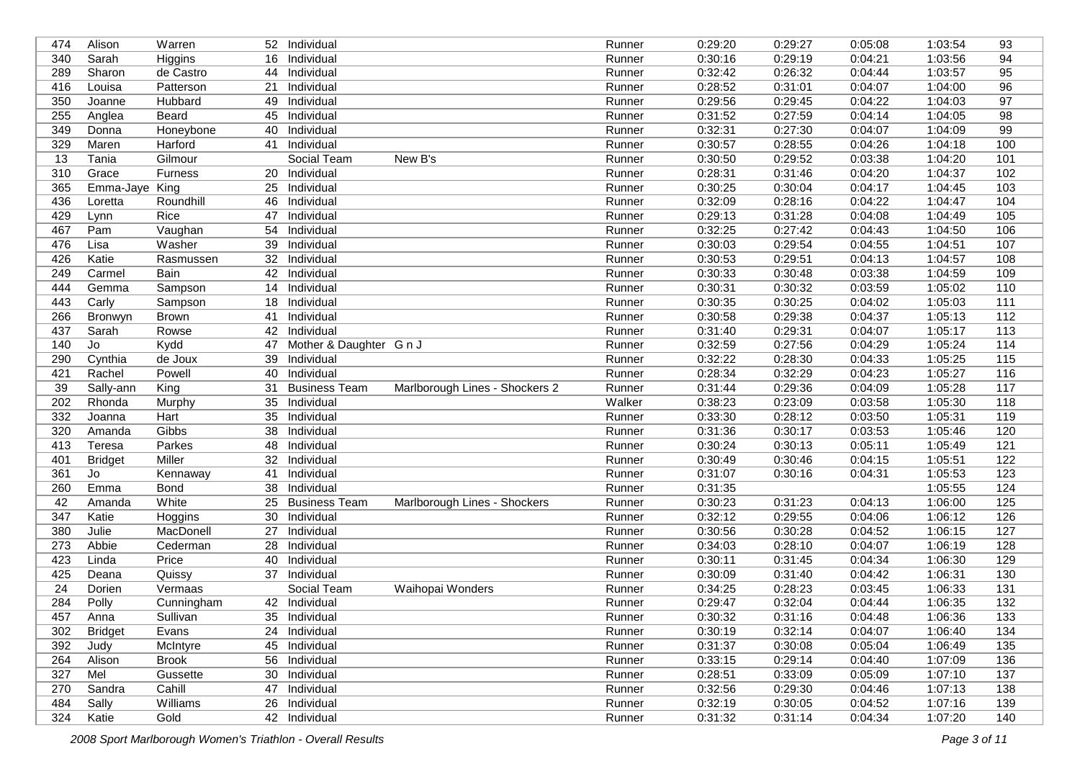| 474             | Alison                | Warren       | 52 <sub>2</sub> | Individual              |                                | Runner | 0:29:20 | 0:29:27 | 0:05:08 | 1:03:54 | 93               |
|-----------------|-----------------------|--------------|-----------------|-------------------------|--------------------------------|--------|---------|---------|---------|---------|------------------|
| 340             | Sarah                 | Higgins      | 16              | Individual              |                                | Runner | 0:30:16 | 0:29:19 | 0:04:21 | 1:03:56 | 94               |
| 289             | Sharon                | de Castro    | 44              | Individual              |                                | Runner | 0:32:42 | 0:26:32 | 0:04:44 | 1:03:57 | 95               |
| 416             | Louisa                | Patterson    | 21              | Individual              |                                | Runner | 0:28:52 | 0:31:01 | 0:04:07 | 1:04:00 | 96               |
| 350             | Joanne                | Hubbard      | 49              | Individual              |                                | Runner | 0:29:56 | 0:29:45 | 0:04:22 | 1:04:03 | 97               |
| 255             | Anglea                | Beard        | 45              | Individual              |                                | Runner | 0:31:52 | 0:27:59 | 0:04:14 | 1:04:05 | 98               |
| 349             | Donna                 | Honeybone    | 40              | Individual              |                                | Runner | 0:32:31 | 0:27:30 | 0:04:07 | 1:04:09 | 99               |
| 329             | Maren                 | Harford      | 41              | Individual              |                                | Runner | 0:30:57 | 0:28:55 | 0:04:26 | 1:04:18 | 100              |
| 13              | Tania                 | Gilmour      |                 | Social Team             | New B's                        | Runner | 0:30:50 | 0:29:52 | 0:03:38 | 1:04:20 | 101              |
| 310             | Grace                 | Furness      | 20              | Individual              |                                | Runner | 0:28:31 | 0:31:46 | 0:04:20 | 1:04:37 | 102              |
| 365             | Emma-Jaye King        |              | 25              | Individual              |                                | Runner | 0:30:25 | 0:30:04 | 0:04:17 | 1:04:45 | 103              |
| 436             | Loretta               | Roundhill    | 46              | Individual              |                                | Runner | 0:32:09 | 0:28:16 | 0:04:22 | 1:04:47 | 104              |
| 429             | Lynn                  | Rice         | 47              | Individual              |                                | Runner | 0:29:13 | 0:31:28 | 0:04:08 | 1:04:49 | 105              |
| 467             | Pam                   | Vaughan      | 54              | Individual              |                                | Runner | 0:32:25 | 0:27:42 | 0:04:43 | 1:04:50 | 106              |
| 476             | Lisa                  | Washer       | 39              | Individual              |                                | Runner | 0:30:03 | 0:29:54 | 0:04:55 | 1:04:51 | 107              |
| 426             | Katie                 | Rasmussen    | 32              | Individual              |                                | Runner | 0:30:53 | 0:29:51 | 0:04:13 | 1:04:57 | 108              |
| 249             | Carmel                | Bain         | 42              | Individual              |                                | Runner | 0:30:33 | 0:30:48 | 0:03:38 | 1:04:59 | 109              |
| 444             | Gemma                 | Sampson      | 14              | Individual              |                                | Runner | 0:30:31 | 0:30:32 | 0:03:59 | 1:05:02 | 110              |
| 443             | Carly                 | Sampson      | 18              | Individual              |                                | Runner | 0:30:35 | 0:30:25 | 0:04:02 | 1:05:03 | 111              |
| 266             | Bronwyn               | <b>Brown</b> | 41              | Individual              |                                | Runner | 0:30:58 | 0:29:38 | 0:04:37 | 1:05:13 | $\overline{112}$ |
| 437             | Sarah                 | Rowse        | 42              | Individual              |                                | Runner | 0:31:40 | 0:29:31 | 0:04:07 | 1:05:17 | 113              |
| 140             | Jo                    | Kydd         | 47              | Mother & Daughter G n J |                                | Runner | 0:32:59 | 0:27:56 | 0:04:29 | 1:05:24 | $114$            |
| 290             | $\overline{C}$ ynthia | de Joux      | 39              | Individual              |                                | Runner | 0:32:22 | 0:28:30 | 0:04:33 | 1:05:25 | 115              |
| 421             | Rachel                | Powell       | 40              | Individual              |                                | Runner | 0:28:34 | 0:32:29 | 0:04:23 | 1:05:27 | 116              |
| 39              | Sally-ann             | King         | 31              | <b>Business Team</b>    | Marlborough Lines - Shockers 2 | Runner | 0:31:44 | 0:29:36 | 0:04:09 | 1:05:28 | 117              |
| 202             | Rhonda                | Murphy       | 35              | Individual              |                                | Walker | 0:38:23 | 0:23:09 | 0:03:58 | 1:05:30 | 118              |
| 332             | Joanna                | Hart         | 35              | Individual              |                                | Runner | 0:33:30 | 0:28:12 | 0:03:50 | 1:05:31 | 119              |
| 320             | Amanda                | Gibbs        | 38              | Individual              |                                | Runner | 0:31:36 | 0:30:17 | 0:03:53 | 1:05:46 | 120              |
| 413             | Teresa                | Parkes       | 48              | Individual              |                                | Runner | 0:30:24 | 0:30:13 | 0:05:11 | 1:05:49 | 121              |
| 401             | <b>Bridget</b>        | Miller       | 32              | Individual              |                                | Runner | 0:30:49 | 0:30:46 | 0:04:15 | 1:05:51 | 122              |
| 361             | Jo                    | Kennaway     | 41              | Individual              |                                | Runner | 0:31:07 | 0:30:16 | 0:04:31 | 1:05:53 | 123              |
| 260             | Emma                  | Bond         | 38              | Individual              |                                | Runner | 0:31:35 |         |         | 1:05:55 | 124              |
| 42              | Amanda                | White        | 25              | <b>Business Team</b>    | Marlborough Lines - Shockers   | Runner | 0:30:23 | 0:31:23 | 0:04:13 | 1:06:00 | 125              |
| 347             | Katie                 | Hoggins      | 30              | Individual              |                                | Runner | 0:32:12 | 0:29:55 | 0:04:06 | 1:06:12 | 126              |
| 380             | Julie                 | MacDonell    | 27              | Individual              |                                | Runner | 0:30:56 | 0:30:28 | 0:04:52 | 1:06:15 | 127              |
| 273             | Abbie                 | Cederman     | 28              | Individual              |                                | Runner | 0:34:03 | 0:28:10 | 0:04:07 | 1:06:19 | 128              |
| 423             | Linda                 | Price        | 40              | Individual              |                                | Runner | 0:30:11 | 0:31:45 | 0:04:34 | 1:06:30 | 129              |
| 425             | Deana                 | Quissy       | 37              | Individual              |                                | Runner | 0:30:09 | 0:31:40 | 0:04:42 | 1:06:31 | 130              |
| $\overline{24}$ | Dorien                | Vermaas      |                 | Social Team             | Waihopai Wonders               | Runner | 0:34:25 | 0:28:23 | 0:03:45 | 1:06:33 | $\overline{131}$ |
| 284             | Polly                 | Cunningham   |                 | 42 Individual           |                                | Runner | 0:29:47 | 0:32:04 | 0:04:44 | 1:06:35 | 132              |
| 457             | Anna                  | Sullivan     |                 | 35 Individual           |                                | Runner | 0:30:32 | 0:31:16 | 0:04:48 | 1:06:36 | 133              |
| 302             | <b>Bridget</b>        | Evans        |                 | 24 Individual           |                                | Runner | 0:30:19 | 0:32:14 | 0:04:07 | 1:06:40 | 134              |
| 392             | Judy                  | McIntyre     |                 | 45 Individual           |                                | Runner | 0:31:37 | 0:30:08 | 0:05:04 | 1:06:49 | 135              |
| 264             | Alison                | <b>Brook</b> |                 | 56 Individual           |                                | Runner | 0:33:15 | 0:29:14 | 0:04:40 | 1:07:09 | 136              |
| 327             | Mel                   | Gussette     |                 | 30 Individual           |                                | Runner | 0:28:51 | 0:33:09 | 0:05:09 | 1:07:10 | 137              |
| 270             | Sandra                | Cahill       |                 | 47 Individual           |                                | Runner | 0:32:56 | 0:29:30 | 0:04:46 | 1:07:13 | 138              |
| 484             | Sally                 | Williams     |                 | 26 Individual           |                                | Runner | 0:32:19 | 0:30:05 | 0:04:52 | 1:07:16 | 139              |
| 324             | Katie                 | Gold         |                 | 42 Individual           |                                | Runner | 0:31:32 | 0:31:14 | 0:04:34 | 1:07:20 | 140              |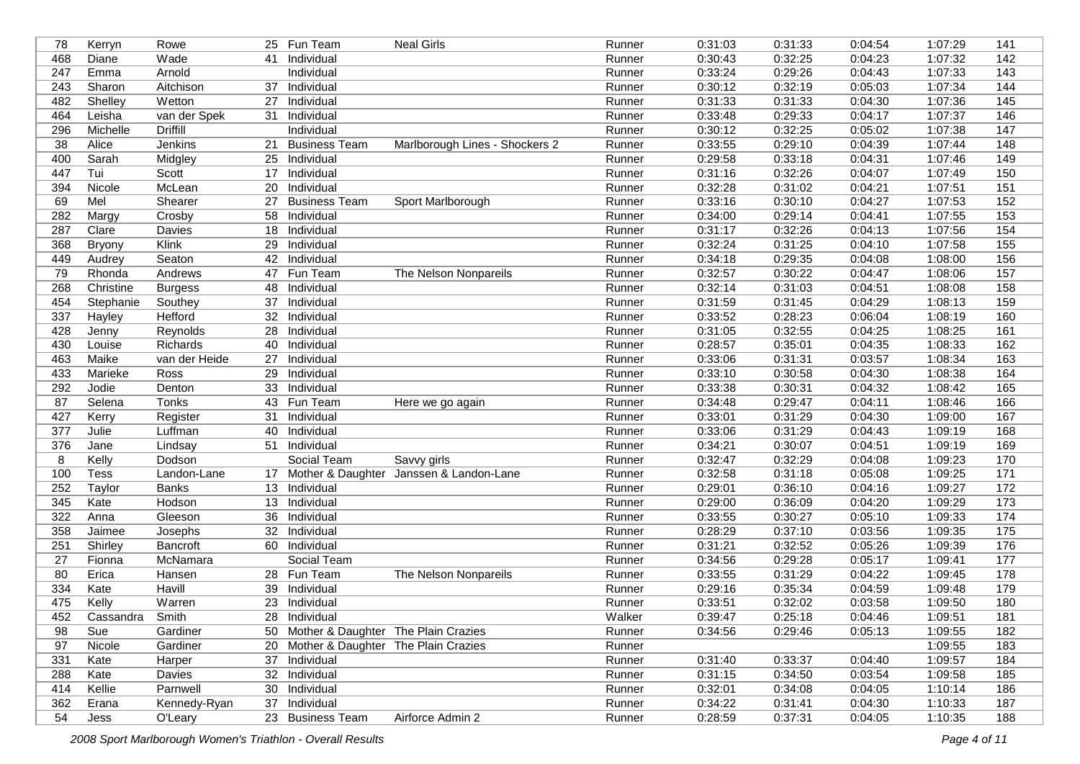| 78  | Kerryn      | Rowe            |    | 25 Fun Team                            | <b>Neal Girls</b>                       | Runner | 0:31:03 | 0:31:33 | 0:04:54 | 1:07:29 | 141              |
|-----|-------------|-----------------|----|----------------------------------------|-----------------------------------------|--------|---------|---------|---------|---------|------------------|
| 468 | Diane       | Wade            | 41 | Individual                             |                                         | Runner | 0:30:43 | 0:32:25 | 0:04:23 | 1:07:32 | 142              |
| 247 | Emma        | Arnold          |    | Individual                             |                                         | Runner | 0:33:24 | 0:29:26 | 0:04:43 | 1:07:33 | 143              |
| 243 | Sharon      | Aitchison       | 37 | Individual                             |                                         | Runner | 0:30:12 | 0:32:19 | 0:05:03 | 1:07:34 | 144              |
| 482 | Shelley     | Wetton          | 27 | Individual                             |                                         | Runner | 0:31:33 | 0:31:33 | 0:04:30 | 1:07:36 | 145              |
| 464 | Leisha      | van der Spek    | 31 | Individual                             |                                         | Runner | 0:33:48 | 0:29:33 | 0:04:17 | 1:07:37 | 146              |
| 296 | Michelle    | <b>Driffill</b> |    | Individual                             |                                         | Runner | 0:30:12 | 0:32:25 | 0:05:02 | 1:07:38 | 147              |
| 38  | Alice       | Jenkins         | 21 | <b>Business Team</b>                   | Marlborough Lines - Shockers 2          | Runner | 0:33:55 | 0:29:10 | 0:04:39 | 1:07:44 | 148              |
| 400 | Sarah       | Midgley         | 25 | Individual                             |                                         | Runner | 0:29:58 | 0:33:18 | 0:04:31 | 1:07:46 | 149              |
| 447 | Tui         | Scott           | 17 | Individual                             |                                         | Runner | 0:31:16 | 0:32:26 | 0:04:07 | 1:07:49 | 150              |
| 394 | Nicole      | McLean          | 20 | Individual                             |                                         | Runner | 0:32:28 | 0:31:02 | 0:04:21 | 1:07:51 | 151              |
| 69  | Mel         | Shearer         | 27 | <b>Business Team</b>                   | Sport Marlborough                       | Runner | 0:33:16 | 0:30:10 | 0:04:27 | 1:07:53 | 152              |
| 282 | Margy       | Crosby          | 58 | Individual                             |                                         | Runner | 0:34:00 | 0:29:14 | 0:04:41 | 1:07:55 | 153              |
| 287 | Clare       | Davies          | 18 | Individual                             |                                         | Runner | 0:31:17 | 0:32:26 | 0:04:13 | 1:07:56 | 154              |
| 368 | Bryony      | Klink           | 29 | Individual                             |                                         | Runner | 0:32:24 | 0:31:25 | 0:04:10 | 1:07:58 | 155              |
| 449 | Audrey      | Seaton          | 42 | Individual                             |                                         | Runner | 0:34:18 | 0:29:35 | 0:04:08 | 1:08:00 | 156              |
| 79  | Rhonda      | Andrews         | 47 | Fun Team                               | The Nelson Nonpareils                   | Runner | 0:32:57 | 0:30:22 | 0:04:47 | 1:08:06 | $\overline{157}$ |
| 268 | Christine   | <b>Burgess</b>  | 48 | Individual                             |                                         | Runner | 0:32:14 | 0:31:03 | 0:04:51 | 1:08:08 | 158              |
| 454 | Stephanie   | Southey         | 37 | Individual                             |                                         | Runner | 0:31:59 | 0:31:45 | 0:04:29 | 1:08:13 | 159              |
| 337 | Hayley      | Hefford         | 32 | Individual                             |                                         | Runner | 0:33:52 | 0:28:23 | 0:06:04 | 1:08:19 | 160              |
| 428 | Jenny       | Reynolds        | 28 | Individual                             |                                         | Runner | 0:31:05 | 0:32:55 | 0:04:25 | 1:08:25 | 161              |
| 430 | Louise      | Richards        | 40 | Individual                             |                                         | Runner | 0:28:57 | 0:35:01 | 0:04:35 | 1:08:33 | 162              |
| 463 | Maike       | van der Heide   | 27 | Individual                             |                                         | Runner | 0:33:06 | 0:31:31 | 0:03:57 | 1:08:34 | 163              |
| 433 | Marieke     | Ross            | 29 | Individual                             |                                         | Runner | 0:33:10 | 0:30:58 | 0:04:30 | 1:08:38 | 164              |
| 292 | Jodie       | Denton          | 33 | Individual                             |                                         | Runner | 0:33:38 | 0:30:31 | 0:04:32 | 1:08:42 | 165              |
| 87  | Selena      | Tonks           |    | 43 Fun Team                            | Here we go again                        | Runner | 0:34:48 | 0:29:47 | 0:04:11 | 1:08:46 | 166              |
| 427 | Kerry       | Register        | 31 | Individual                             |                                         | Runner | 0:33:01 | 0:31:29 | 0:04:30 | 1:09:00 | 167              |
| 377 | Julie       | Luffman         | 40 | Individual                             |                                         | Runner | 0:33:06 | 0:31:29 | 0:04:43 | 1:09:19 | 168              |
| 376 | Jane        | Lindsay         | 51 | Individual                             |                                         | Runner | 0:34:21 | 0:30:07 | 0:04:51 | 1:09:19 | 169              |
| 8   | Kelly       | Dodson          |    | Social Team                            | Savvy girls                             | Runner | 0:32:47 | 0:32:29 | 0:04:08 | 1:09:23 | 170              |
| 100 | <b>Tess</b> | Landon-Lane     | 17 |                                        | Mother & Daughter Janssen & Landon-Lane | Runner | 0:32:58 | 0:31:18 | 0:05:08 | 1:09:25 | $171$            |
| 252 | Taylor      | <b>Banks</b>    | 13 | Individual                             |                                         | Runner | 0:29:01 | 0:36:10 | 0:04:16 | 1:09:27 | $\overline{172}$ |
| 345 | Kate        | Hodson          | 13 | Individual                             |                                         | Runner | 0:29:00 | 0:36:09 | 0:04:20 | 1:09:29 | 173              |
| 322 | Anna        | Gleeson         | 36 | Individual                             |                                         | Runner | 0:33:55 | 0:30:27 | 0:05:10 | 1:09:33 | 174              |
| 358 | Jaimee      | Josephs         | 32 | Individual                             |                                         | Runner | 0:28:29 | 0:37:10 | 0:03:56 | 1:09:35 | $\overline{175}$ |
| 251 | Shirley     | Bancroft        | 60 | Individual                             |                                         | Runner | 0:31:21 | 0:32:52 | 0:05:26 | 1:09:39 | 176              |
| 27  | Fionna      | McNamara        |    | Social Team                            |                                         | Runner | 0:34:56 | 0:29:28 | 0:05:17 | 1:09:41 | 177              |
| 80  | Erica       | Hansen          |    | 28 Fun Team                            | The Nelson Nonpareils                   | Runner | 0:33:55 | 0:31:29 | 0:04:22 | 1:09:45 | 178              |
| 334 | Kate        | Havill          | 39 | Individual                             |                                         | Runner | 0:29:16 | 0:35:34 | 0:04:59 | 1:09:48 | 179              |
| 475 | Kelly       | Warren          |    | 23 Individual                          |                                         | Runner | 0:33:51 | 0:32:02 | 0:03:58 | 1:09:50 | 180              |
| 452 | Cassandra   | Smith           |    | 28 Individual                          |                                         | Walker | 0:39:47 | 0:25:18 | 0:04:46 | 1:09:51 | 181              |
| 98  | Sue         | Gardiner        |    | 50 Mother & Daughter The Plain Crazies |                                         | Runner | 0:34:56 | 0:29:46 | 0:05:13 | 1:09:55 | 182              |
| 97  | Nicole      | Gardiner        |    | 20 Mother & Daughter The Plain Crazies |                                         | Runner |         |         |         | 1:09:55 | 183              |
| 331 | Kate        | Harper          |    | 37 Individual                          |                                         | Runner | 0:31:40 | 0:33:37 | 0:04:40 | 1:09:57 | 184              |
| 288 | Kate        | Davies          |    | 32 Individual                          |                                         | Runner | 0:31:15 | 0:34:50 | 0:03:54 | 1:09:58 | 185              |
| 414 | Kellie      | Parnwell        |    | 30 Individual                          |                                         | Runner | 0:32:01 | 0:34:08 | 0:04:05 | 1:10:14 | 186              |
| 362 |             | Kennedy-Ryan    |    | 37 Individual                          |                                         | Runner | 0:34:22 | 0:31:41 | 0:04:30 | 1:10:33 | 187              |
| 54  | Erana       |                 |    | 23 Business Team                       | Airforce Admin 2                        |        | 0:28:59 | 0:37:31 | 0:04:05 | 1:10:35 | 188              |
|     | Jess        | O'Leary         |    |                                        |                                         | Runner |         |         |         |         |                  |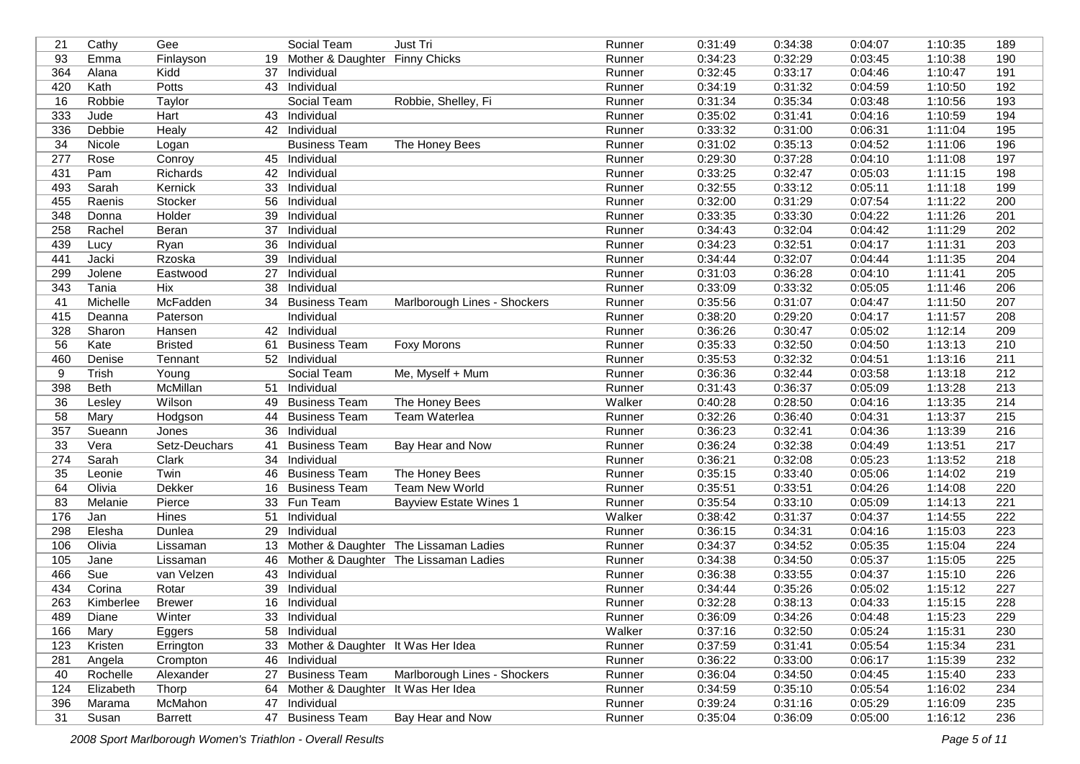| 93<br>Emma<br>Finlayson<br>Mother & Daughter Finny Chicks<br>Runner<br>0:03:45<br>19<br>Kidd<br>364<br>0:32:45<br>0:33:17<br>1:10:47<br>191<br>Alana<br>37<br>Individual<br>Runner<br>0:04:46<br>420<br>Kath<br>Potts<br>Individual<br>Runner<br>0:34:19<br>192<br>0:31:32<br>0:04:59<br>1:10:50<br>43<br>193<br>16<br>Robbie, Shelley, Fi<br>Runner<br>0:31:34<br>0:35:34<br>0:03:48<br>1:10:56<br>Robbie<br>Taylor<br>Social Team<br>333<br>194<br>Jude<br>Hart<br>Runner<br>0:35:02<br>0:31:41<br>0:04:16<br>1:10:59<br>43<br>Individual<br>336<br>195<br>Debbie<br>42<br>0:33:32<br>0:31:00<br>0:06:31<br>Healy<br>Individual<br>Runner<br>1:11:04<br>34<br>0:35:13<br>196<br>The Honey Bees<br>Runner<br>0:31:02<br>0:04:52<br>1:11:06<br>Nicole<br><b>Business Team</b><br>Logan<br>277<br>0:29:30<br>0:37:28<br>197<br>Rose<br>Conroy<br>45 Individual<br>Runner<br>0:04:10<br>1:11:08<br>431<br>Richards<br>Individual<br>Runner<br>0:33:25<br>0:32:47<br>1:11:15<br>198<br>Pam<br>42<br>0:05:03<br>493<br>Sarah<br>Individual<br>0:32:55<br>0:33:12<br>1:11:18<br>199<br>Kernick<br>33<br>Runner<br>0:05:11<br>200<br>455<br>Runner<br>0:32:00<br>0:31:29<br>0:07:54<br>1:11:22<br>Raenis<br>Stocker<br>56<br>Individual<br>201<br>348<br>Holder<br>0:33:35<br>0:33:30<br>1:11:26<br>39<br>Individual<br>Runner<br>0:04:22<br>Donna<br>258<br>37<br>Runner<br>0:34:43<br>0:32:04<br>0:04:42<br>1:11:29<br>202<br>Rachel<br>Beran<br>Individual<br>0:34:23<br>0:32:51<br>$\overline{203}$<br>439<br>36<br>Runner<br>0:04:17<br>1:11:31<br>Lucy<br>Ryan<br>Individual<br>204<br>Jacki<br>0:34:44<br>0:32:07<br>1:11:35<br>441<br>Rzoska<br>39<br>Individual<br>Runner<br>0:04:44<br>0:31:03<br>0:36:28<br>205<br>299<br>Jolene<br>27<br>0:04:10<br>1:11:41<br>Eastwood<br>Individual<br>Runner<br>Tania<br>Hix<br>Individual<br>0:33:09<br>0:33:32<br>1:11:46<br>206<br>343<br>38<br>Runner<br>0:05:05<br>207<br>41<br>McFadden<br>Runner<br>0:35:56<br>0:31:07<br>0:04:47<br>1:11:50<br>Michelle<br>34 Business Team<br>Marlborough Lines - Shockers<br>415<br>0:38:20<br>208<br>Individual<br>Runner<br>0:29:20<br>0:04:17<br>1:11:57<br>Deanna<br>Paterson<br>328<br>Sharon<br>Individual<br>Runner<br>0:36:26<br>0:30:47<br>209<br>42<br>0:05:02<br>1:12:14<br>Hansen<br>210<br>56<br>Kate<br><b>Business Team</b><br>Foxy Morons<br>0:35:33<br>0:32:50<br>0:04:50<br>1:13:13<br><b>Bristed</b><br>61<br>Runner<br>211<br>460<br>52 Individual<br>Runner<br>0:35:53<br>0:32:32<br>0:04:51<br>1:13:16<br>Denise<br>Tennant<br>0:36:36<br>0:32:44<br>212<br>9<br><b>Trish</b><br>Social Team<br>Me, Myself + Mum<br>Runner<br>0:03:58<br>1:13:18<br>Young<br>398<br>213<br><b>Beth</b><br><b>McMillan</b><br>51<br>Individual<br>0:31:43<br>0:36:37<br>1:13:28<br>Runner<br>0:05:09<br>36<br>Wilson<br>The Honey Bees<br>Walker<br>0:40:28<br>0:28:50<br>1:13:35<br>214<br><b>Business Team</b><br>0:04:16<br>Lesley<br>49<br>58<br>0:32:26<br>0:36:40<br>1:13:37<br>215<br>Hodgson<br><b>Business Team</b><br>Team Waterlea<br>Runner<br>0:04:31<br>Mary<br>44<br>357<br>Sueann<br>0:36:23<br>0:32:41<br>1:13:39<br>216<br>Jones<br>Individual<br>Runner<br>0:04:36<br>36<br>217<br>33<br>Vera<br>Setz-Deuchars<br>0:36:24<br>0:32:38<br>41<br><b>Business Team</b><br>Bay Hear and Now<br>Runner<br>0:04:49<br>1:13:51<br>0:32:08<br>1:13:52<br>218<br>274<br>Sarah<br>Clark<br>Individual<br>Runner<br>0:36:21<br>0:05:23<br>34<br>Twin<br>0:35:15<br>0:33:40<br>1:14:02<br>219<br>35<br><b>Business Team</b><br>The Honey Bees<br>0:05:06<br>Leonie<br>46<br>Runner<br>64<br>Olivia<br>Dekker<br><b>Team New World</b><br>0:35:51<br>0:33:51<br>0:04:26<br>1:14:08<br>220<br>16<br><b>Business Team</b><br>Runner<br>221<br>83<br>Fun Team<br>Runner<br>0:35:54<br>0:33:10<br>0:05:09<br>1:14:13<br>Melanie<br>Pierce<br>33<br><b>Bayview Estate Wines 1</b><br>176<br>222<br><b>Hines</b><br>51<br>Walker<br>0:38:42<br>0:31:37<br>1:14:55<br>Jan<br>Individual<br>0:04:37<br>298<br>Elesha<br>Dunlea<br>0:36:15<br>0:34:31<br>0:04:16<br>1:15:03<br>223<br>29<br>Individual<br>Runner<br>224<br>106<br>Olivia<br>Mother & Daughter The Lissaman Ladies<br>0:34:37<br>0:34:52<br>0:05:35<br>Runner<br>1:15:04<br>Lissaman<br>13<br>0:34:38<br>225<br>105<br>Jane<br>Runner<br>0:34:50<br>0:05:37<br>1:15:05<br>Mother & Daughter The Lissaman Ladies<br>Lissaman<br>46<br>Sue<br>0:36:38<br>0:33:55<br>226<br>466<br>van Velzen<br>43<br>Individual<br>Runner<br>0:04:37<br>1:15:10<br>434<br>Corina<br>Individual<br>0:34:44<br>0:35:26<br>1:15:12<br>227<br>Rotar<br>39<br>Runner<br>0:05:02<br>228<br>263<br>Kimberlee<br><b>Brewer</b><br>16 Individual<br>Runner<br>0:32:28<br>0:38:13<br>0:04:33<br>1:15:15<br>489<br>Winter<br>33 Individual<br>Runner<br>0:36:09<br>0:34:26<br>0:04:48<br>1:15:23<br>229<br>Diane<br>166<br>Mary<br>58 Individual<br>Walker<br>0:37:16<br>0:05:24<br>1:15:31<br>230<br>Eggers<br>0:32:50<br>33 Mother & Daughter It Was Her Idea<br>0:37:59<br>1:15:34<br>231<br>123<br>Kristen<br>Runner<br>0:31:41<br>0:05:54<br>Errington<br>232<br>281<br>0:36:22<br>0:33:00<br>0:06:17<br>1:15:39<br>Angela<br>Crompton<br>46 Individual<br>Runner<br>27 Business Team<br>Rochelle<br>Marlborough Lines - Shockers<br>Runner<br>0:36:04<br>0:34:50<br>1:15:40<br>233<br>40<br>Alexander<br>0:04:45<br>234<br>124<br>Thorp<br>64 Mother & Daughter It Was Her Idea<br>Runner<br>0:34:59<br>0:35:10<br>0:05:54<br>1:16:02<br>Elizabeth<br>396<br>McMahon<br>Individual<br>Runner<br>0:39:24<br>0:31:16<br>0:05:29<br>1:16:09<br>235<br>Marama<br>47<br>31<br>47 Business Team<br>Bay Hear and Now<br>236<br>Runner<br>0:35:04<br>0:36:09<br>0:05:00<br>1:16:12<br>Susan<br><b>Barrett</b> | 21 | Cathy | Gee | Social Team | Just Tri | Runner | 0:31:49 | 0:34:38 | 0:04:07 | 1:10:35 | 189 |
|------------------------------------------------------------------------------------------------------------------------------------------------------------------------------------------------------------------------------------------------------------------------------------------------------------------------------------------------------------------------------------------------------------------------------------------------------------------------------------------------------------------------------------------------------------------------------------------------------------------------------------------------------------------------------------------------------------------------------------------------------------------------------------------------------------------------------------------------------------------------------------------------------------------------------------------------------------------------------------------------------------------------------------------------------------------------------------------------------------------------------------------------------------------------------------------------------------------------------------------------------------------------------------------------------------------------------------------------------------------------------------------------------------------------------------------------------------------------------------------------------------------------------------------------------------------------------------------------------------------------------------------------------------------------------------------------------------------------------------------------------------------------------------------------------------------------------------------------------------------------------------------------------------------------------------------------------------------------------------------------------------------------------------------------------------------------------------------------------------------------------------------------------------------------------------------------------------------------------------------------------------------------------------------------------------------------------------------------------------------------------------------------------------------------------------------------------------------------------------------------------------------------------------------------------------------------------------------------------------------------------------------------------------------------------------------------------------------------------------------------------------------------------------------------------------------------------------------------------------------------------------------------------------------------------------------------------------------------------------------------------------------------------------------------------------------------------------------------------------------------------------------------------------------------------------------------------------------------------------------------------------------------------------------------------------------------------------------------------------------------------------------------------------------------------------------------------------------------------------------------------------------------------------------------------------------------------------------------------------------------------------------------------------------------------------------------------------------------------------------------------------------------------------------------------------------------------------------------------------------------------------------------------------------------------------------------------------------------------------------------------------------------------------------------------------------------------------------------------------------------------------------------------------------------------------------------------------------------------------------------------------------------------------------------------------------------------------------------------------------------------------------------------------------------------------------------------------------------------------------------------------------------------------------------------------------------------------------------------------------------------------------------------------------------------------------------------------------------------------------------------------------------------------------------------------------------------------------------------------------------------------------------------------------------------------------------------------------------------------------------------------------------------------------------------------------------------------------------------------------------------------------------------------------------------------------------------------------------------------------------------------------------------------------------------------------------------------------------------------------------------------------------------------------------------------------------------------------------------------------------------------------------------------------------------------------------------------------------------------------------------------------------------------------------------------------------------------------------------------|----|-------|-----|-------------|----------|--------|---------|---------|---------|---------|-----|
|                                                                                                                                                                                                                                                                                                                                                                                                                                                                                                                                                                                                                                                                                                                                                                                                                                                                                                                                                                                                                                                                                                                                                                                                                                                                                                                                                                                                                                                                                                                                                                                                                                                                                                                                                                                                                                                                                                                                                                                                                                                                                                                                                                                                                                                                                                                                                                                                                                                                                                                                                                                                                                                                                                                                                                                                                                                                                                                                                                                                                                                                                                                                                                                                                                                                                                                                                                                                                                                                                                                                                                                                                                                                                                                                                                                                                                                                                                                                                                                                                                                                                                                                                                                                                                                                                                                                                                                                                                                                                                                                                                                                                                                                                                                                                                                                                                                                                                                                                                                                                                                                                                                                                                                                                                                                                                                                                                                                                                                                                                                                                                                                                                                                                                                                    |    |       |     |             |          |        | 0:34:23 | 0:32:29 |         | 1:10:38 | 190 |
|                                                                                                                                                                                                                                                                                                                                                                                                                                                                                                                                                                                                                                                                                                                                                                                                                                                                                                                                                                                                                                                                                                                                                                                                                                                                                                                                                                                                                                                                                                                                                                                                                                                                                                                                                                                                                                                                                                                                                                                                                                                                                                                                                                                                                                                                                                                                                                                                                                                                                                                                                                                                                                                                                                                                                                                                                                                                                                                                                                                                                                                                                                                                                                                                                                                                                                                                                                                                                                                                                                                                                                                                                                                                                                                                                                                                                                                                                                                                                                                                                                                                                                                                                                                                                                                                                                                                                                                                                                                                                                                                                                                                                                                                                                                                                                                                                                                                                                                                                                                                                                                                                                                                                                                                                                                                                                                                                                                                                                                                                                                                                                                                                                                                                                                                    |    |       |     |             |          |        |         |         |         |         |     |
|                                                                                                                                                                                                                                                                                                                                                                                                                                                                                                                                                                                                                                                                                                                                                                                                                                                                                                                                                                                                                                                                                                                                                                                                                                                                                                                                                                                                                                                                                                                                                                                                                                                                                                                                                                                                                                                                                                                                                                                                                                                                                                                                                                                                                                                                                                                                                                                                                                                                                                                                                                                                                                                                                                                                                                                                                                                                                                                                                                                                                                                                                                                                                                                                                                                                                                                                                                                                                                                                                                                                                                                                                                                                                                                                                                                                                                                                                                                                                                                                                                                                                                                                                                                                                                                                                                                                                                                                                                                                                                                                                                                                                                                                                                                                                                                                                                                                                                                                                                                                                                                                                                                                                                                                                                                                                                                                                                                                                                                                                                                                                                                                                                                                                                                                    |    |       |     |             |          |        |         |         |         |         |     |
|                                                                                                                                                                                                                                                                                                                                                                                                                                                                                                                                                                                                                                                                                                                                                                                                                                                                                                                                                                                                                                                                                                                                                                                                                                                                                                                                                                                                                                                                                                                                                                                                                                                                                                                                                                                                                                                                                                                                                                                                                                                                                                                                                                                                                                                                                                                                                                                                                                                                                                                                                                                                                                                                                                                                                                                                                                                                                                                                                                                                                                                                                                                                                                                                                                                                                                                                                                                                                                                                                                                                                                                                                                                                                                                                                                                                                                                                                                                                                                                                                                                                                                                                                                                                                                                                                                                                                                                                                                                                                                                                                                                                                                                                                                                                                                                                                                                                                                                                                                                                                                                                                                                                                                                                                                                                                                                                                                                                                                                                                                                                                                                                                                                                                                                                    |    |       |     |             |          |        |         |         |         |         |     |
|                                                                                                                                                                                                                                                                                                                                                                                                                                                                                                                                                                                                                                                                                                                                                                                                                                                                                                                                                                                                                                                                                                                                                                                                                                                                                                                                                                                                                                                                                                                                                                                                                                                                                                                                                                                                                                                                                                                                                                                                                                                                                                                                                                                                                                                                                                                                                                                                                                                                                                                                                                                                                                                                                                                                                                                                                                                                                                                                                                                                                                                                                                                                                                                                                                                                                                                                                                                                                                                                                                                                                                                                                                                                                                                                                                                                                                                                                                                                                                                                                                                                                                                                                                                                                                                                                                                                                                                                                                                                                                                                                                                                                                                                                                                                                                                                                                                                                                                                                                                                                                                                                                                                                                                                                                                                                                                                                                                                                                                                                                                                                                                                                                                                                                                                    |    |       |     |             |          |        |         |         |         |         |     |
|                                                                                                                                                                                                                                                                                                                                                                                                                                                                                                                                                                                                                                                                                                                                                                                                                                                                                                                                                                                                                                                                                                                                                                                                                                                                                                                                                                                                                                                                                                                                                                                                                                                                                                                                                                                                                                                                                                                                                                                                                                                                                                                                                                                                                                                                                                                                                                                                                                                                                                                                                                                                                                                                                                                                                                                                                                                                                                                                                                                                                                                                                                                                                                                                                                                                                                                                                                                                                                                                                                                                                                                                                                                                                                                                                                                                                                                                                                                                                                                                                                                                                                                                                                                                                                                                                                                                                                                                                                                                                                                                                                                                                                                                                                                                                                                                                                                                                                                                                                                                                                                                                                                                                                                                                                                                                                                                                                                                                                                                                                                                                                                                                                                                                                                                    |    |       |     |             |          |        |         |         |         |         |     |
|                                                                                                                                                                                                                                                                                                                                                                                                                                                                                                                                                                                                                                                                                                                                                                                                                                                                                                                                                                                                                                                                                                                                                                                                                                                                                                                                                                                                                                                                                                                                                                                                                                                                                                                                                                                                                                                                                                                                                                                                                                                                                                                                                                                                                                                                                                                                                                                                                                                                                                                                                                                                                                                                                                                                                                                                                                                                                                                                                                                                                                                                                                                                                                                                                                                                                                                                                                                                                                                                                                                                                                                                                                                                                                                                                                                                                                                                                                                                                                                                                                                                                                                                                                                                                                                                                                                                                                                                                                                                                                                                                                                                                                                                                                                                                                                                                                                                                                                                                                                                                                                                                                                                                                                                                                                                                                                                                                                                                                                                                                                                                                                                                                                                                                                                    |    |       |     |             |          |        |         |         |         |         |     |
|                                                                                                                                                                                                                                                                                                                                                                                                                                                                                                                                                                                                                                                                                                                                                                                                                                                                                                                                                                                                                                                                                                                                                                                                                                                                                                                                                                                                                                                                                                                                                                                                                                                                                                                                                                                                                                                                                                                                                                                                                                                                                                                                                                                                                                                                                                                                                                                                                                                                                                                                                                                                                                                                                                                                                                                                                                                                                                                                                                                                                                                                                                                                                                                                                                                                                                                                                                                                                                                                                                                                                                                                                                                                                                                                                                                                                                                                                                                                                                                                                                                                                                                                                                                                                                                                                                                                                                                                                                                                                                                                                                                                                                                                                                                                                                                                                                                                                                                                                                                                                                                                                                                                                                                                                                                                                                                                                                                                                                                                                                                                                                                                                                                                                                                                    |    |       |     |             |          |        |         |         |         |         |     |
|                                                                                                                                                                                                                                                                                                                                                                                                                                                                                                                                                                                                                                                                                                                                                                                                                                                                                                                                                                                                                                                                                                                                                                                                                                                                                                                                                                                                                                                                                                                                                                                                                                                                                                                                                                                                                                                                                                                                                                                                                                                                                                                                                                                                                                                                                                                                                                                                                                                                                                                                                                                                                                                                                                                                                                                                                                                                                                                                                                                                                                                                                                                                                                                                                                                                                                                                                                                                                                                                                                                                                                                                                                                                                                                                                                                                                                                                                                                                                                                                                                                                                                                                                                                                                                                                                                                                                                                                                                                                                                                                                                                                                                                                                                                                                                                                                                                                                                                                                                                                                                                                                                                                                                                                                                                                                                                                                                                                                                                                                                                                                                                                                                                                                                                                    |    |       |     |             |          |        |         |         |         |         |     |
|                                                                                                                                                                                                                                                                                                                                                                                                                                                                                                                                                                                                                                                                                                                                                                                                                                                                                                                                                                                                                                                                                                                                                                                                                                                                                                                                                                                                                                                                                                                                                                                                                                                                                                                                                                                                                                                                                                                                                                                                                                                                                                                                                                                                                                                                                                                                                                                                                                                                                                                                                                                                                                                                                                                                                                                                                                                                                                                                                                                                                                                                                                                                                                                                                                                                                                                                                                                                                                                                                                                                                                                                                                                                                                                                                                                                                                                                                                                                                                                                                                                                                                                                                                                                                                                                                                                                                                                                                                                                                                                                                                                                                                                                                                                                                                                                                                                                                                                                                                                                                                                                                                                                                                                                                                                                                                                                                                                                                                                                                                                                                                                                                                                                                                                                    |    |       |     |             |          |        |         |         |         |         |     |
|                                                                                                                                                                                                                                                                                                                                                                                                                                                                                                                                                                                                                                                                                                                                                                                                                                                                                                                                                                                                                                                                                                                                                                                                                                                                                                                                                                                                                                                                                                                                                                                                                                                                                                                                                                                                                                                                                                                                                                                                                                                                                                                                                                                                                                                                                                                                                                                                                                                                                                                                                                                                                                                                                                                                                                                                                                                                                                                                                                                                                                                                                                                                                                                                                                                                                                                                                                                                                                                                                                                                                                                                                                                                                                                                                                                                                                                                                                                                                                                                                                                                                                                                                                                                                                                                                                                                                                                                                                                                                                                                                                                                                                                                                                                                                                                                                                                                                                                                                                                                                                                                                                                                                                                                                                                                                                                                                                                                                                                                                                                                                                                                                                                                                                                                    |    |       |     |             |          |        |         |         |         |         |     |
|                                                                                                                                                                                                                                                                                                                                                                                                                                                                                                                                                                                                                                                                                                                                                                                                                                                                                                                                                                                                                                                                                                                                                                                                                                                                                                                                                                                                                                                                                                                                                                                                                                                                                                                                                                                                                                                                                                                                                                                                                                                                                                                                                                                                                                                                                                                                                                                                                                                                                                                                                                                                                                                                                                                                                                                                                                                                                                                                                                                                                                                                                                                                                                                                                                                                                                                                                                                                                                                                                                                                                                                                                                                                                                                                                                                                                                                                                                                                                                                                                                                                                                                                                                                                                                                                                                                                                                                                                                                                                                                                                                                                                                                                                                                                                                                                                                                                                                                                                                                                                                                                                                                                                                                                                                                                                                                                                                                                                                                                                                                                                                                                                                                                                                                                    |    |       |     |             |          |        |         |         |         |         |     |
|                                                                                                                                                                                                                                                                                                                                                                                                                                                                                                                                                                                                                                                                                                                                                                                                                                                                                                                                                                                                                                                                                                                                                                                                                                                                                                                                                                                                                                                                                                                                                                                                                                                                                                                                                                                                                                                                                                                                                                                                                                                                                                                                                                                                                                                                                                                                                                                                                                                                                                                                                                                                                                                                                                                                                                                                                                                                                                                                                                                                                                                                                                                                                                                                                                                                                                                                                                                                                                                                                                                                                                                                                                                                                                                                                                                                                                                                                                                                                                                                                                                                                                                                                                                                                                                                                                                                                                                                                                                                                                                                                                                                                                                                                                                                                                                                                                                                                                                                                                                                                                                                                                                                                                                                                                                                                                                                                                                                                                                                                                                                                                                                                                                                                                                                    |    |       |     |             |          |        |         |         |         |         |     |
|                                                                                                                                                                                                                                                                                                                                                                                                                                                                                                                                                                                                                                                                                                                                                                                                                                                                                                                                                                                                                                                                                                                                                                                                                                                                                                                                                                                                                                                                                                                                                                                                                                                                                                                                                                                                                                                                                                                                                                                                                                                                                                                                                                                                                                                                                                                                                                                                                                                                                                                                                                                                                                                                                                                                                                                                                                                                                                                                                                                                                                                                                                                                                                                                                                                                                                                                                                                                                                                                                                                                                                                                                                                                                                                                                                                                                                                                                                                                                                                                                                                                                                                                                                                                                                                                                                                                                                                                                                                                                                                                                                                                                                                                                                                                                                                                                                                                                                                                                                                                                                                                                                                                                                                                                                                                                                                                                                                                                                                                                                                                                                                                                                                                                                                                    |    |       |     |             |          |        |         |         |         |         |     |
|                                                                                                                                                                                                                                                                                                                                                                                                                                                                                                                                                                                                                                                                                                                                                                                                                                                                                                                                                                                                                                                                                                                                                                                                                                                                                                                                                                                                                                                                                                                                                                                                                                                                                                                                                                                                                                                                                                                                                                                                                                                                                                                                                                                                                                                                                                                                                                                                                                                                                                                                                                                                                                                                                                                                                                                                                                                                                                                                                                                                                                                                                                                                                                                                                                                                                                                                                                                                                                                                                                                                                                                                                                                                                                                                                                                                                                                                                                                                                                                                                                                                                                                                                                                                                                                                                                                                                                                                                                                                                                                                                                                                                                                                                                                                                                                                                                                                                                                                                                                                                                                                                                                                                                                                                                                                                                                                                                                                                                                                                                                                                                                                                                                                                                                                    |    |       |     |             |          |        |         |         |         |         |     |
|                                                                                                                                                                                                                                                                                                                                                                                                                                                                                                                                                                                                                                                                                                                                                                                                                                                                                                                                                                                                                                                                                                                                                                                                                                                                                                                                                                                                                                                                                                                                                                                                                                                                                                                                                                                                                                                                                                                                                                                                                                                                                                                                                                                                                                                                                                                                                                                                                                                                                                                                                                                                                                                                                                                                                                                                                                                                                                                                                                                                                                                                                                                                                                                                                                                                                                                                                                                                                                                                                                                                                                                                                                                                                                                                                                                                                                                                                                                                                                                                                                                                                                                                                                                                                                                                                                                                                                                                                                                                                                                                                                                                                                                                                                                                                                                                                                                                                                                                                                                                                                                                                                                                                                                                                                                                                                                                                                                                                                                                                                                                                                                                                                                                                                                                    |    |       |     |             |          |        |         |         |         |         |     |
|                                                                                                                                                                                                                                                                                                                                                                                                                                                                                                                                                                                                                                                                                                                                                                                                                                                                                                                                                                                                                                                                                                                                                                                                                                                                                                                                                                                                                                                                                                                                                                                                                                                                                                                                                                                                                                                                                                                                                                                                                                                                                                                                                                                                                                                                                                                                                                                                                                                                                                                                                                                                                                                                                                                                                                                                                                                                                                                                                                                                                                                                                                                                                                                                                                                                                                                                                                                                                                                                                                                                                                                                                                                                                                                                                                                                                                                                                                                                                                                                                                                                                                                                                                                                                                                                                                                                                                                                                                                                                                                                                                                                                                                                                                                                                                                                                                                                                                                                                                                                                                                                                                                                                                                                                                                                                                                                                                                                                                                                                                                                                                                                                                                                                                                                    |    |       |     |             |          |        |         |         |         |         |     |
|                                                                                                                                                                                                                                                                                                                                                                                                                                                                                                                                                                                                                                                                                                                                                                                                                                                                                                                                                                                                                                                                                                                                                                                                                                                                                                                                                                                                                                                                                                                                                                                                                                                                                                                                                                                                                                                                                                                                                                                                                                                                                                                                                                                                                                                                                                                                                                                                                                                                                                                                                                                                                                                                                                                                                                                                                                                                                                                                                                                                                                                                                                                                                                                                                                                                                                                                                                                                                                                                                                                                                                                                                                                                                                                                                                                                                                                                                                                                                                                                                                                                                                                                                                                                                                                                                                                                                                                                                                                                                                                                                                                                                                                                                                                                                                                                                                                                                                                                                                                                                                                                                                                                                                                                                                                                                                                                                                                                                                                                                                                                                                                                                                                                                                                                    |    |       |     |             |          |        |         |         |         |         |     |
|                                                                                                                                                                                                                                                                                                                                                                                                                                                                                                                                                                                                                                                                                                                                                                                                                                                                                                                                                                                                                                                                                                                                                                                                                                                                                                                                                                                                                                                                                                                                                                                                                                                                                                                                                                                                                                                                                                                                                                                                                                                                                                                                                                                                                                                                                                                                                                                                                                                                                                                                                                                                                                                                                                                                                                                                                                                                                                                                                                                                                                                                                                                                                                                                                                                                                                                                                                                                                                                                                                                                                                                                                                                                                                                                                                                                                                                                                                                                                                                                                                                                                                                                                                                                                                                                                                                                                                                                                                                                                                                                                                                                                                                                                                                                                                                                                                                                                                                                                                                                                                                                                                                                                                                                                                                                                                                                                                                                                                                                                                                                                                                                                                                                                                                                    |    |       |     |             |          |        |         |         |         |         |     |
|                                                                                                                                                                                                                                                                                                                                                                                                                                                                                                                                                                                                                                                                                                                                                                                                                                                                                                                                                                                                                                                                                                                                                                                                                                                                                                                                                                                                                                                                                                                                                                                                                                                                                                                                                                                                                                                                                                                                                                                                                                                                                                                                                                                                                                                                                                                                                                                                                                                                                                                                                                                                                                                                                                                                                                                                                                                                                                                                                                                                                                                                                                                                                                                                                                                                                                                                                                                                                                                                                                                                                                                                                                                                                                                                                                                                                                                                                                                                                                                                                                                                                                                                                                                                                                                                                                                                                                                                                                                                                                                                                                                                                                                                                                                                                                                                                                                                                                                                                                                                                                                                                                                                                                                                                                                                                                                                                                                                                                                                                                                                                                                                                                                                                                                                    |    |       |     |             |          |        |         |         |         |         |     |
|                                                                                                                                                                                                                                                                                                                                                                                                                                                                                                                                                                                                                                                                                                                                                                                                                                                                                                                                                                                                                                                                                                                                                                                                                                                                                                                                                                                                                                                                                                                                                                                                                                                                                                                                                                                                                                                                                                                                                                                                                                                                                                                                                                                                                                                                                                                                                                                                                                                                                                                                                                                                                                                                                                                                                                                                                                                                                                                                                                                                                                                                                                                                                                                                                                                                                                                                                                                                                                                                                                                                                                                                                                                                                                                                                                                                                                                                                                                                                                                                                                                                                                                                                                                                                                                                                                                                                                                                                                                                                                                                                                                                                                                                                                                                                                                                                                                                                                                                                                                                                                                                                                                                                                                                                                                                                                                                                                                                                                                                                                                                                                                                                                                                                                                                    |    |       |     |             |          |        |         |         |         |         |     |
|                                                                                                                                                                                                                                                                                                                                                                                                                                                                                                                                                                                                                                                                                                                                                                                                                                                                                                                                                                                                                                                                                                                                                                                                                                                                                                                                                                                                                                                                                                                                                                                                                                                                                                                                                                                                                                                                                                                                                                                                                                                                                                                                                                                                                                                                                                                                                                                                                                                                                                                                                                                                                                                                                                                                                                                                                                                                                                                                                                                                                                                                                                                                                                                                                                                                                                                                                                                                                                                                                                                                                                                                                                                                                                                                                                                                                                                                                                                                                                                                                                                                                                                                                                                                                                                                                                                                                                                                                                                                                                                                                                                                                                                                                                                                                                                                                                                                                                                                                                                                                                                                                                                                                                                                                                                                                                                                                                                                                                                                                                                                                                                                                                                                                                                                    |    |       |     |             |          |        |         |         |         |         |     |
|                                                                                                                                                                                                                                                                                                                                                                                                                                                                                                                                                                                                                                                                                                                                                                                                                                                                                                                                                                                                                                                                                                                                                                                                                                                                                                                                                                                                                                                                                                                                                                                                                                                                                                                                                                                                                                                                                                                                                                                                                                                                                                                                                                                                                                                                                                                                                                                                                                                                                                                                                                                                                                                                                                                                                                                                                                                                                                                                                                                                                                                                                                                                                                                                                                                                                                                                                                                                                                                                                                                                                                                                                                                                                                                                                                                                                                                                                                                                                                                                                                                                                                                                                                                                                                                                                                                                                                                                                                                                                                                                                                                                                                                                                                                                                                                                                                                                                                                                                                                                                                                                                                                                                                                                                                                                                                                                                                                                                                                                                                                                                                                                                                                                                                                                    |    |       |     |             |          |        |         |         |         |         |     |
|                                                                                                                                                                                                                                                                                                                                                                                                                                                                                                                                                                                                                                                                                                                                                                                                                                                                                                                                                                                                                                                                                                                                                                                                                                                                                                                                                                                                                                                                                                                                                                                                                                                                                                                                                                                                                                                                                                                                                                                                                                                                                                                                                                                                                                                                                                                                                                                                                                                                                                                                                                                                                                                                                                                                                                                                                                                                                                                                                                                                                                                                                                                                                                                                                                                                                                                                                                                                                                                                                                                                                                                                                                                                                                                                                                                                                                                                                                                                                                                                                                                                                                                                                                                                                                                                                                                                                                                                                                                                                                                                                                                                                                                                                                                                                                                                                                                                                                                                                                                                                                                                                                                                                                                                                                                                                                                                                                                                                                                                                                                                                                                                                                                                                                                                    |    |       |     |             |          |        |         |         |         |         |     |
|                                                                                                                                                                                                                                                                                                                                                                                                                                                                                                                                                                                                                                                                                                                                                                                                                                                                                                                                                                                                                                                                                                                                                                                                                                                                                                                                                                                                                                                                                                                                                                                                                                                                                                                                                                                                                                                                                                                                                                                                                                                                                                                                                                                                                                                                                                                                                                                                                                                                                                                                                                                                                                                                                                                                                                                                                                                                                                                                                                                                                                                                                                                                                                                                                                                                                                                                                                                                                                                                                                                                                                                                                                                                                                                                                                                                                                                                                                                                                                                                                                                                                                                                                                                                                                                                                                                                                                                                                                                                                                                                                                                                                                                                                                                                                                                                                                                                                                                                                                                                                                                                                                                                                                                                                                                                                                                                                                                                                                                                                                                                                                                                                                                                                                                                    |    |       |     |             |          |        |         |         |         |         |     |
|                                                                                                                                                                                                                                                                                                                                                                                                                                                                                                                                                                                                                                                                                                                                                                                                                                                                                                                                                                                                                                                                                                                                                                                                                                                                                                                                                                                                                                                                                                                                                                                                                                                                                                                                                                                                                                                                                                                                                                                                                                                                                                                                                                                                                                                                                                                                                                                                                                                                                                                                                                                                                                                                                                                                                                                                                                                                                                                                                                                                                                                                                                                                                                                                                                                                                                                                                                                                                                                                                                                                                                                                                                                                                                                                                                                                                                                                                                                                                                                                                                                                                                                                                                                                                                                                                                                                                                                                                                                                                                                                                                                                                                                                                                                                                                                                                                                                                                                                                                                                                                                                                                                                                                                                                                                                                                                                                                                                                                                                                                                                                                                                                                                                                                                                    |    |       |     |             |          |        |         |         |         |         |     |
|                                                                                                                                                                                                                                                                                                                                                                                                                                                                                                                                                                                                                                                                                                                                                                                                                                                                                                                                                                                                                                                                                                                                                                                                                                                                                                                                                                                                                                                                                                                                                                                                                                                                                                                                                                                                                                                                                                                                                                                                                                                                                                                                                                                                                                                                                                                                                                                                                                                                                                                                                                                                                                                                                                                                                                                                                                                                                                                                                                                                                                                                                                                                                                                                                                                                                                                                                                                                                                                                                                                                                                                                                                                                                                                                                                                                                                                                                                                                                                                                                                                                                                                                                                                                                                                                                                                                                                                                                                                                                                                                                                                                                                                                                                                                                                                                                                                                                                                                                                                                                                                                                                                                                                                                                                                                                                                                                                                                                                                                                                                                                                                                                                                                                                                                    |    |       |     |             |          |        |         |         |         |         |     |
|                                                                                                                                                                                                                                                                                                                                                                                                                                                                                                                                                                                                                                                                                                                                                                                                                                                                                                                                                                                                                                                                                                                                                                                                                                                                                                                                                                                                                                                                                                                                                                                                                                                                                                                                                                                                                                                                                                                                                                                                                                                                                                                                                                                                                                                                                                                                                                                                                                                                                                                                                                                                                                                                                                                                                                                                                                                                                                                                                                                                                                                                                                                                                                                                                                                                                                                                                                                                                                                                                                                                                                                                                                                                                                                                                                                                                                                                                                                                                                                                                                                                                                                                                                                                                                                                                                                                                                                                                                                                                                                                                                                                                                                                                                                                                                                                                                                                                                                                                                                                                                                                                                                                                                                                                                                                                                                                                                                                                                                                                                                                                                                                                                                                                                                                    |    |       |     |             |          |        |         |         |         |         |     |
|                                                                                                                                                                                                                                                                                                                                                                                                                                                                                                                                                                                                                                                                                                                                                                                                                                                                                                                                                                                                                                                                                                                                                                                                                                                                                                                                                                                                                                                                                                                                                                                                                                                                                                                                                                                                                                                                                                                                                                                                                                                                                                                                                                                                                                                                                                                                                                                                                                                                                                                                                                                                                                                                                                                                                                                                                                                                                                                                                                                                                                                                                                                                                                                                                                                                                                                                                                                                                                                                                                                                                                                                                                                                                                                                                                                                                                                                                                                                                                                                                                                                                                                                                                                                                                                                                                                                                                                                                                                                                                                                                                                                                                                                                                                                                                                                                                                                                                                                                                                                                                                                                                                                                                                                                                                                                                                                                                                                                                                                                                                                                                                                                                                                                                                                    |    |       |     |             |          |        |         |         |         |         |     |
|                                                                                                                                                                                                                                                                                                                                                                                                                                                                                                                                                                                                                                                                                                                                                                                                                                                                                                                                                                                                                                                                                                                                                                                                                                                                                                                                                                                                                                                                                                                                                                                                                                                                                                                                                                                                                                                                                                                                                                                                                                                                                                                                                                                                                                                                                                                                                                                                                                                                                                                                                                                                                                                                                                                                                                                                                                                                                                                                                                                                                                                                                                                                                                                                                                                                                                                                                                                                                                                                                                                                                                                                                                                                                                                                                                                                                                                                                                                                                                                                                                                                                                                                                                                                                                                                                                                                                                                                                                                                                                                                                                                                                                                                                                                                                                                                                                                                                                                                                                                                                                                                                                                                                                                                                                                                                                                                                                                                                                                                                                                                                                                                                                                                                                                                    |    |       |     |             |          |        |         |         |         |         |     |
|                                                                                                                                                                                                                                                                                                                                                                                                                                                                                                                                                                                                                                                                                                                                                                                                                                                                                                                                                                                                                                                                                                                                                                                                                                                                                                                                                                                                                                                                                                                                                                                                                                                                                                                                                                                                                                                                                                                                                                                                                                                                                                                                                                                                                                                                                                                                                                                                                                                                                                                                                                                                                                                                                                                                                                                                                                                                                                                                                                                                                                                                                                                                                                                                                                                                                                                                                                                                                                                                                                                                                                                                                                                                                                                                                                                                                                                                                                                                                                                                                                                                                                                                                                                                                                                                                                                                                                                                                                                                                                                                                                                                                                                                                                                                                                                                                                                                                                                                                                                                                                                                                                                                                                                                                                                                                                                                                                                                                                                                                                                                                                                                                                                                                                                                    |    |       |     |             |          |        |         |         |         |         |     |
|                                                                                                                                                                                                                                                                                                                                                                                                                                                                                                                                                                                                                                                                                                                                                                                                                                                                                                                                                                                                                                                                                                                                                                                                                                                                                                                                                                                                                                                                                                                                                                                                                                                                                                                                                                                                                                                                                                                                                                                                                                                                                                                                                                                                                                                                                                                                                                                                                                                                                                                                                                                                                                                                                                                                                                                                                                                                                                                                                                                                                                                                                                                                                                                                                                                                                                                                                                                                                                                                                                                                                                                                                                                                                                                                                                                                                                                                                                                                                                                                                                                                                                                                                                                                                                                                                                                                                                                                                                                                                                                                                                                                                                                                                                                                                                                                                                                                                                                                                                                                                                                                                                                                                                                                                                                                                                                                                                                                                                                                                                                                                                                                                                                                                                                                    |    |       |     |             |          |        |         |         |         |         |     |
|                                                                                                                                                                                                                                                                                                                                                                                                                                                                                                                                                                                                                                                                                                                                                                                                                                                                                                                                                                                                                                                                                                                                                                                                                                                                                                                                                                                                                                                                                                                                                                                                                                                                                                                                                                                                                                                                                                                                                                                                                                                                                                                                                                                                                                                                                                                                                                                                                                                                                                                                                                                                                                                                                                                                                                                                                                                                                                                                                                                                                                                                                                                                                                                                                                                                                                                                                                                                                                                                                                                                                                                                                                                                                                                                                                                                                                                                                                                                                                                                                                                                                                                                                                                                                                                                                                                                                                                                                                                                                                                                                                                                                                                                                                                                                                                                                                                                                                                                                                                                                                                                                                                                                                                                                                                                                                                                                                                                                                                                                                                                                                                                                                                                                                                                    |    |       |     |             |          |        |         |         |         |         |     |
|                                                                                                                                                                                                                                                                                                                                                                                                                                                                                                                                                                                                                                                                                                                                                                                                                                                                                                                                                                                                                                                                                                                                                                                                                                                                                                                                                                                                                                                                                                                                                                                                                                                                                                                                                                                                                                                                                                                                                                                                                                                                                                                                                                                                                                                                                                                                                                                                                                                                                                                                                                                                                                                                                                                                                                                                                                                                                                                                                                                                                                                                                                                                                                                                                                                                                                                                                                                                                                                                                                                                                                                                                                                                                                                                                                                                                                                                                                                                                                                                                                                                                                                                                                                                                                                                                                                                                                                                                                                                                                                                                                                                                                                                                                                                                                                                                                                                                                                                                                                                                                                                                                                                                                                                                                                                                                                                                                                                                                                                                                                                                                                                                                                                                                                                    |    |       |     |             |          |        |         |         |         |         |     |
|                                                                                                                                                                                                                                                                                                                                                                                                                                                                                                                                                                                                                                                                                                                                                                                                                                                                                                                                                                                                                                                                                                                                                                                                                                                                                                                                                                                                                                                                                                                                                                                                                                                                                                                                                                                                                                                                                                                                                                                                                                                                                                                                                                                                                                                                                                                                                                                                                                                                                                                                                                                                                                                                                                                                                                                                                                                                                                                                                                                                                                                                                                                                                                                                                                                                                                                                                                                                                                                                                                                                                                                                                                                                                                                                                                                                                                                                                                                                                                                                                                                                                                                                                                                                                                                                                                                                                                                                                                                                                                                                                                                                                                                                                                                                                                                                                                                                                                                                                                                                                                                                                                                                                                                                                                                                                                                                                                                                                                                                                                                                                                                                                                                                                                                                    |    |       |     |             |          |        |         |         |         |         |     |
|                                                                                                                                                                                                                                                                                                                                                                                                                                                                                                                                                                                                                                                                                                                                                                                                                                                                                                                                                                                                                                                                                                                                                                                                                                                                                                                                                                                                                                                                                                                                                                                                                                                                                                                                                                                                                                                                                                                                                                                                                                                                                                                                                                                                                                                                                                                                                                                                                                                                                                                                                                                                                                                                                                                                                                                                                                                                                                                                                                                                                                                                                                                                                                                                                                                                                                                                                                                                                                                                                                                                                                                                                                                                                                                                                                                                                                                                                                                                                                                                                                                                                                                                                                                                                                                                                                                                                                                                                                                                                                                                                                                                                                                                                                                                                                                                                                                                                                                                                                                                                                                                                                                                                                                                                                                                                                                                                                                                                                                                                                                                                                                                                                                                                                                                    |    |       |     |             |          |        |         |         |         |         |     |
|                                                                                                                                                                                                                                                                                                                                                                                                                                                                                                                                                                                                                                                                                                                                                                                                                                                                                                                                                                                                                                                                                                                                                                                                                                                                                                                                                                                                                                                                                                                                                                                                                                                                                                                                                                                                                                                                                                                                                                                                                                                                                                                                                                                                                                                                                                                                                                                                                                                                                                                                                                                                                                                                                                                                                                                                                                                                                                                                                                                                                                                                                                                                                                                                                                                                                                                                                                                                                                                                                                                                                                                                                                                                                                                                                                                                                                                                                                                                                                                                                                                                                                                                                                                                                                                                                                                                                                                                                                                                                                                                                                                                                                                                                                                                                                                                                                                                                                                                                                                                                                                                                                                                                                                                                                                                                                                                                                                                                                                                                                                                                                                                                                                                                                                                    |    |       |     |             |          |        |         |         |         |         |     |
|                                                                                                                                                                                                                                                                                                                                                                                                                                                                                                                                                                                                                                                                                                                                                                                                                                                                                                                                                                                                                                                                                                                                                                                                                                                                                                                                                                                                                                                                                                                                                                                                                                                                                                                                                                                                                                                                                                                                                                                                                                                                                                                                                                                                                                                                                                                                                                                                                                                                                                                                                                                                                                                                                                                                                                                                                                                                                                                                                                                                                                                                                                                                                                                                                                                                                                                                                                                                                                                                                                                                                                                                                                                                                                                                                                                                                                                                                                                                                                                                                                                                                                                                                                                                                                                                                                                                                                                                                                                                                                                                                                                                                                                                                                                                                                                                                                                                                                                                                                                                                                                                                                                                                                                                                                                                                                                                                                                                                                                                                                                                                                                                                                                                                                                                    |    |       |     |             |          |        |         |         |         |         |     |
|                                                                                                                                                                                                                                                                                                                                                                                                                                                                                                                                                                                                                                                                                                                                                                                                                                                                                                                                                                                                                                                                                                                                                                                                                                                                                                                                                                                                                                                                                                                                                                                                                                                                                                                                                                                                                                                                                                                                                                                                                                                                                                                                                                                                                                                                                                                                                                                                                                                                                                                                                                                                                                                                                                                                                                                                                                                                                                                                                                                                                                                                                                                                                                                                                                                                                                                                                                                                                                                                                                                                                                                                                                                                                                                                                                                                                                                                                                                                                                                                                                                                                                                                                                                                                                                                                                                                                                                                                                                                                                                                                                                                                                                                                                                                                                                                                                                                                                                                                                                                                                                                                                                                                                                                                                                                                                                                                                                                                                                                                                                                                                                                                                                                                                                                    |    |       |     |             |          |        |         |         |         |         |     |
|                                                                                                                                                                                                                                                                                                                                                                                                                                                                                                                                                                                                                                                                                                                                                                                                                                                                                                                                                                                                                                                                                                                                                                                                                                                                                                                                                                                                                                                                                                                                                                                                                                                                                                                                                                                                                                                                                                                                                                                                                                                                                                                                                                                                                                                                                                                                                                                                                                                                                                                                                                                                                                                                                                                                                                                                                                                                                                                                                                                                                                                                                                                                                                                                                                                                                                                                                                                                                                                                                                                                                                                                                                                                                                                                                                                                                                                                                                                                                                                                                                                                                                                                                                                                                                                                                                                                                                                                                                                                                                                                                                                                                                                                                                                                                                                                                                                                                                                                                                                                                                                                                                                                                                                                                                                                                                                                                                                                                                                                                                                                                                                                                                                                                                                                    |    |       |     |             |          |        |         |         |         |         |     |
|                                                                                                                                                                                                                                                                                                                                                                                                                                                                                                                                                                                                                                                                                                                                                                                                                                                                                                                                                                                                                                                                                                                                                                                                                                                                                                                                                                                                                                                                                                                                                                                                                                                                                                                                                                                                                                                                                                                                                                                                                                                                                                                                                                                                                                                                                                                                                                                                                                                                                                                                                                                                                                                                                                                                                                                                                                                                                                                                                                                                                                                                                                                                                                                                                                                                                                                                                                                                                                                                                                                                                                                                                                                                                                                                                                                                                                                                                                                                                                                                                                                                                                                                                                                                                                                                                                                                                                                                                                                                                                                                                                                                                                                                                                                                                                                                                                                                                                                                                                                                                                                                                                                                                                                                                                                                                                                                                                                                                                                                                                                                                                                                                                                                                                                                    |    |       |     |             |          |        |         |         |         |         |     |
|                                                                                                                                                                                                                                                                                                                                                                                                                                                                                                                                                                                                                                                                                                                                                                                                                                                                                                                                                                                                                                                                                                                                                                                                                                                                                                                                                                                                                                                                                                                                                                                                                                                                                                                                                                                                                                                                                                                                                                                                                                                                                                                                                                                                                                                                                                                                                                                                                                                                                                                                                                                                                                                                                                                                                                                                                                                                                                                                                                                                                                                                                                                                                                                                                                                                                                                                                                                                                                                                                                                                                                                                                                                                                                                                                                                                                                                                                                                                                                                                                                                                                                                                                                                                                                                                                                                                                                                                                                                                                                                                                                                                                                                                                                                                                                                                                                                                                                                                                                                                                                                                                                                                                                                                                                                                                                                                                                                                                                                                                                                                                                                                                                                                                                                                    |    |       |     |             |          |        |         |         |         |         |     |
|                                                                                                                                                                                                                                                                                                                                                                                                                                                                                                                                                                                                                                                                                                                                                                                                                                                                                                                                                                                                                                                                                                                                                                                                                                                                                                                                                                                                                                                                                                                                                                                                                                                                                                                                                                                                                                                                                                                                                                                                                                                                                                                                                                                                                                                                                                                                                                                                                                                                                                                                                                                                                                                                                                                                                                                                                                                                                                                                                                                                                                                                                                                                                                                                                                                                                                                                                                                                                                                                                                                                                                                                                                                                                                                                                                                                                                                                                                                                                                                                                                                                                                                                                                                                                                                                                                                                                                                                                                                                                                                                                                                                                                                                                                                                                                                                                                                                                                                                                                                                                                                                                                                                                                                                                                                                                                                                                                                                                                                                                                                                                                                                                                                                                                                                    |    |       |     |             |          |        |         |         |         |         |     |
|                                                                                                                                                                                                                                                                                                                                                                                                                                                                                                                                                                                                                                                                                                                                                                                                                                                                                                                                                                                                                                                                                                                                                                                                                                                                                                                                                                                                                                                                                                                                                                                                                                                                                                                                                                                                                                                                                                                                                                                                                                                                                                                                                                                                                                                                                                                                                                                                                                                                                                                                                                                                                                                                                                                                                                                                                                                                                                                                                                                                                                                                                                                                                                                                                                                                                                                                                                                                                                                                                                                                                                                                                                                                                                                                                                                                                                                                                                                                                                                                                                                                                                                                                                                                                                                                                                                                                                                                                                                                                                                                                                                                                                                                                                                                                                                                                                                                                                                                                                                                                                                                                                                                                                                                                                                                                                                                                                                                                                                                                                                                                                                                                                                                                                                                    |    |       |     |             |          |        |         |         |         |         |     |
|                                                                                                                                                                                                                                                                                                                                                                                                                                                                                                                                                                                                                                                                                                                                                                                                                                                                                                                                                                                                                                                                                                                                                                                                                                                                                                                                                                                                                                                                                                                                                                                                                                                                                                                                                                                                                                                                                                                                                                                                                                                                                                                                                                                                                                                                                                                                                                                                                                                                                                                                                                                                                                                                                                                                                                                                                                                                                                                                                                                                                                                                                                                                                                                                                                                                                                                                                                                                                                                                                                                                                                                                                                                                                                                                                                                                                                                                                                                                                                                                                                                                                                                                                                                                                                                                                                                                                                                                                                                                                                                                                                                                                                                                                                                                                                                                                                                                                                                                                                                                                                                                                                                                                                                                                                                                                                                                                                                                                                                                                                                                                                                                                                                                                                                                    |    |       |     |             |          |        |         |         |         |         |     |
|                                                                                                                                                                                                                                                                                                                                                                                                                                                                                                                                                                                                                                                                                                                                                                                                                                                                                                                                                                                                                                                                                                                                                                                                                                                                                                                                                                                                                                                                                                                                                                                                                                                                                                                                                                                                                                                                                                                                                                                                                                                                                                                                                                                                                                                                                                                                                                                                                                                                                                                                                                                                                                                                                                                                                                                                                                                                                                                                                                                                                                                                                                                                                                                                                                                                                                                                                                                                                                                                                                                                                                                                                                                                                                                                                                                                                                                                                                                                                                                                                                                                                                                                                                                                                                                                                                                                                                                                                                                                                                                                                                                                                                                                                                                                                                                                                                                                                                                                                                                                                                                                                                                                                                                                                                                                                                                                                                                                                                                                                                                                                                                                                                                                                                                                    |    |       |     |             |          |        |         |         |         |         |     |
|                                                                                                                                                                                                                                                                                                                                                                                                                                                                                                                                                                                                                                                                                                                                                                                                                                                                                                                                                                                                                                                                                                                                                                                                                                                                                                                                                                                                                                                                                                                                                                                                                                                                                                                                                                                                                                                                                                                                                                                                                                                                                                                                                                                                                                                                                                                                                                                                                                                                                                                                                                                                                                                                                                                                                                                                                                                                                                                                                                                                                                                                                                                                                                                                                                                                                                                                                                                                                                                                                                                                                                                                                                                                                                                                                                                                                                                                                                                                                                                                                                                                                                                                                                                                                                                                                                                                                                                                                                                                                                                                                                                                                                                                                                                                                                                                                                                                                                                                                                                                                                                                                                                                                                                                                                                                                                                                                                                                                                                                                                                                                                                                                                                                                                                                    |    |       |     |             |          |        |         |         |         |         |     |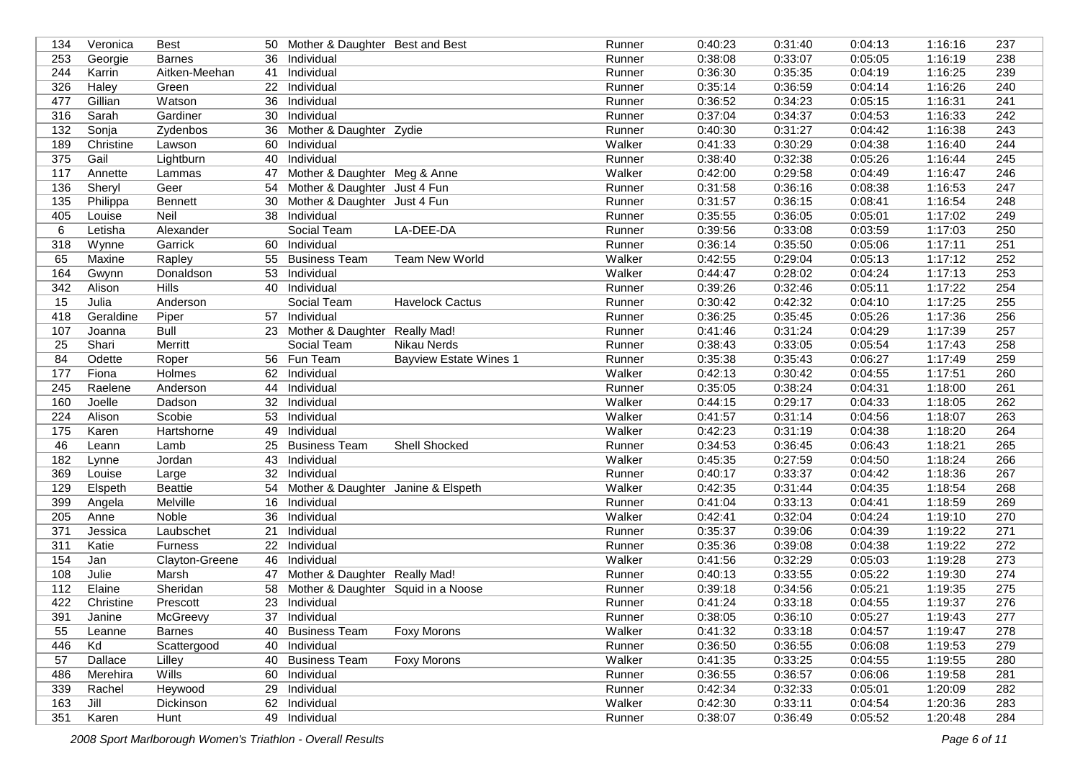| 134 | Veronica         | <b>Best</b>       |                 | 50 Mother & Daughter Best and Best |                               | Runner | 0:40:23 | 0:31:40 | 0:04:13 | 1:16:16 | 237 |
|-----|------------------|-------------------|-----------------|------------------------------------|-------------------------------|--------|---------|---------|---------|---------|-----|
| 253 | Georgie          | <b>Barnes</b>     | 36              | Individual                         |                               | Runner | 0:38:08 | 0:33:07 | 0:05:05 | 1:16:19 | 238 |
| 244 | Karrin           | Aitken-Meehan     | 41              | Individual                         |                               | Runner | 0:36:30 | 0:35:35 | 0:04:19 | 1:16:25 | 239 |
| 326 | Haley            | Green             | 22              | Individual                         |                               | Runner | 0:35:14 | 0:36:59 | 0:04:14 | 1:16:26 | 240 |
| 477 | Gillian          | Watson            | 36              | Individual                         |                               | Runner | 0:36:52 | 0:34:23 | 0:05:15 | 1:16:31 | 241 |
| 316 | Sarah            | Gardiner          | 30              | Individual                         |                               | Runner | 0:37:04 | 0:34:37 | 0:04:53 | 1:16:33 | 242 |
| 132 | Sonja            | Zydenbos          | 36              | Mother & Daughter Zydie            |                               | Runner | 0:40:30 | 0:31:27 | 0:04:42 | 1:16:38 | 243 |
| 189 | Christine        | Lawson            | 60              | Individual                         |                               | Walker | 0:41:33 | 0:30:29 | 0:04:38 | 1:16:40 | 244 |
| 375 | Gail             | Lightburn         |                 | 40 Individual                      |                               | Runner | 0:38:40 | 0:32:38 | 0:05:26 | 1:16:44 | 245 |
| 117 | Annette          | Lammas            | 47              | Mother & Daughter Meg & Anne       |                               | Walker | 0:42:00 | 0:29:58 | 0:04:49 | 1:16:47 | 246 |
| 136 | Sheryl           | Geer              |                 | 54 Mother & Daughter Just 4 Fun    |                               | Runner | 0:31:58 | 0:36:16 | 0:08:38 | 1:16:53 | 247 |
| 135 | Philippa         | Bennett           |                 | 30 Mother & Daughter Just 4 Fun    |                               | Runner | 0:31:57 | 0:36:15 | 0:08:41 | 1:16:54 | 248 |
| 405 | Louise           | Neil              |                 | 38 Individual                      |                               | Runner | 0:35:55 | 0:36:05 | 0:05:01 | 1:17:02 | 249 |
| 6   | Letisha          | Alexander         |                 | Social Team                        | LA-DEE-DA                     | Runner | 0:39:56 | 0:33:08 | 0:03:59 | 1:17:03 | 250 |
| 318 | Wynne            | Garrick           | 60              | Individual                         |                               | Runner | 0:36:14 | 0:35:50 | 0:05:06 | 1:17:11 | 251 |
| 65  | Maxine           | Rapley            |                 | 55 Business Team                   | <b>Team New World</b>         | Walker | 0:42:55 | 0:29:04 | 0:05:13 | 1:17:12 | 252 |
| 164 | Gwynn            | Donaldson         | 53              | Individual                         |                               | Walker | 0:44:47 | 0:28:02 | 0:04:24 | 1:17:13 | 253 |
| 342 | Alison           | <b>Hills</b>      | 40              | Individual                         |                               | Runner | 0:39:26 | 0:32:46 | 0:05:11 | 1:17:22 | 254 |
| 15  | Julia            | Anderson          |                 | Social Team                        | <b>Havelock Cactus</b>        | Runner | 0:30:42 | 0:42:32 | 0:04:10 | 1:17:25 | 255 |
| 418 | Geraldine        | Piper             |                 | 57 Individual                      |                               | Runner | 0:36:25 | 0:35:45 | 0:05:26 | 1:17:36 | 256 |
| 107 | Joanna           | <b>Bull</b>       |                 | 23 Mother & Daughter Really Mad!   |                               | Runner | 0:41:46 | 0:31:24 | 0:04:29 | 1:17:39 | 257 |
| 25  | Shari            | Merritt           |                 | Social Team                        | Nikau Nerds                   | Runner | 0:38:43 | 0:33:05 | 0:05:54 | 1:17:43 | 258 |
| 84  | Odette           | Roper             |                 | 56 Fun Team                        | <b>Bayview Estate Wines 1</b> | Runner | 0:35:38 | 0:35:43 | 0:06:27 | 1:17:49 | 259 |
| 177 | Fiona            | <b>Holmes</b>     | 62              | Individual                         |                               | Walker | 0:42:13 | 0:30:42 | 0:04:55 | 1:17:51 | 260 |
| 245 | Raelene          | Anderson          | 44              | Individual                         |                               | Runner | 0:35:05 | 0:38:24 | 0:04:31 | 1:18:00 | 261 |
| 160 | Joelle           | Dadson            |                 | 32 Individual                      |                               | Walker | 0:44:15 | 0:29:17 | 0:04:33 | 1:18:05 | 262 |
| 224 | Alison           | Scobie            |                 | 53 Individual                      |                               | Walker | 0:41:57 | 0:31:14 | 0:04:56 | 1:18:07 | 263 |
| 175 | Karen            | <b>Hartshorne</b> | 49              | Individual                         |                               | Walker | 0:42:23 | 0:31:19 | 0:04:38 | 1:18:20 | 264 |
| 46  | Leann            | Lamb              | 25              | <b>Business Team</b>               | <b>Shell Shocked</b>          | Runner | 0:34:53 | 0:36:45 | 0:06:43 | 1:18:21 | 265 |
| 182 | Lynne            | Jordan            | 43              | Individual                         |                               | Walker | 0:45:35 | 0:27:59 | 0:04:50 | 1:18:24 | 266 |
| 369 | Louise           | Large             | 32 <sup>°</sup> | Individual                         |                               | Runner | 0:40:17 | 0:33:37 | 0:04:42 | 1:18:36 | 267 |
| 129 | Elspeth          | <b>Beattie</b>    | 54              | Mother & Daughter Janine & Elspeth |                               | Walker | 0:42:35 | 0:31:44 | 0:04:35 | 1:18:54 | 268 |
| 399 | Angela           | Melville          | 16              | Individual                         |                               | Runner | 0:41:04 | 0:33:13 | 0:04:41 | 1:18:59 | 269 |
| 205 | Anne             | <b>Noble</b>      | 36              | Individual                         |                               | Walker | 0:42:41 | 0:32:04 | 0:04:24 | 1:19:10 | 270 |
| 371 | Jessica          | Laubschet         | 21              | Individual                         |                               | Runner | 0:35:37 | 0:39:06 | 0:04:39 | 1:19:22 | 271 |
| 311 | Katie            | Furness           | 22              | Individual                         |                               | Runner | 0:35:36 | 0:39:08 | 0:04:38 | 1:19:22 | 272 |
| 154 | Jan              | Clayton-Greene    | 46              | Individual                         |                               | Walker | 0:41:56 | 0:32:29 | 0:05:03 | 1:19:28 | 273 |
| 108 | Julie            | Marsh             |                 | 47 Mother & Daughter Really Mad!   |                               | Runner | 0:40:13 | 0:33:55 | 0:05:22 | 1:19:30 | 274 |
| 112 | Elaine           | Sheridan          | 58              | Mother & Daughter Squid in a Noose |                               | Runner | 0:39:18 | 0:34:56 | 0:05:21 | 1:19:35 | 275 |
| 422 | Christine        | Prescott          |                 | 23 Individual                      |                               | Runner | 0:41:24 | 0:33:18 | 0:04:55 | 1:19:37 | 276 |
| 391 |                  | McGreevy          |                 | 37 Individual                      |                               | Runner | 0:38:05 | 0:36:10 | 0:05:27 | 1:19:43 | 277 |
| 55  | Janine<br>Leanne | <b>Barnes</b>     |                 | 40 Business Team                   | Foxy Morons                   | Walker | 0:41:32 | 0:33:18 | 0:04:57 | 1:19:47 | 278 |
| 446 | Kd               | Scattergood       |                 | 40 Individual                      |                               | Runner | 0:36:50 | 0:36:55 | 0:06:08 | 1:19:53 | 279 |
| 57  | Dallace          |                   |                 | 40 Business Team                   | <b>Foxy Morons</b>            | Walker | 0:41:35 |         | 0:04:55 | 1:19:55 | 280 |
|     |                  | Lilley            |                 |                                    |                               |        |         | 0:33:25 |         |         |     |
| 486 | Merehira         | Wills             |                 | 60 Individual                      |                               | Runner | 0:36:55 | 0:36:57 | 0:06:06 | 1:19:58 | 281 |
| 339 | Rachel           | Heywood           |                 | 29 Individual                      |                               | Runner | 0:42:34 | 0:32:33 | 0:05:01 | 1:20:09 | 282 |
| 163 | Jill             | Dickinson         |                 | 62 Individual                      |                               | Walker | 0:42:30 | 0:33:11 | 0:04:54 | 1:20:36 | 283 |
| 351 | Karen            | Hunt              |                 | 49 Individual                      |                               | Runner | 0:38:07 | 0:36:49 | 0:05:52 | 1:20:48 | 284 |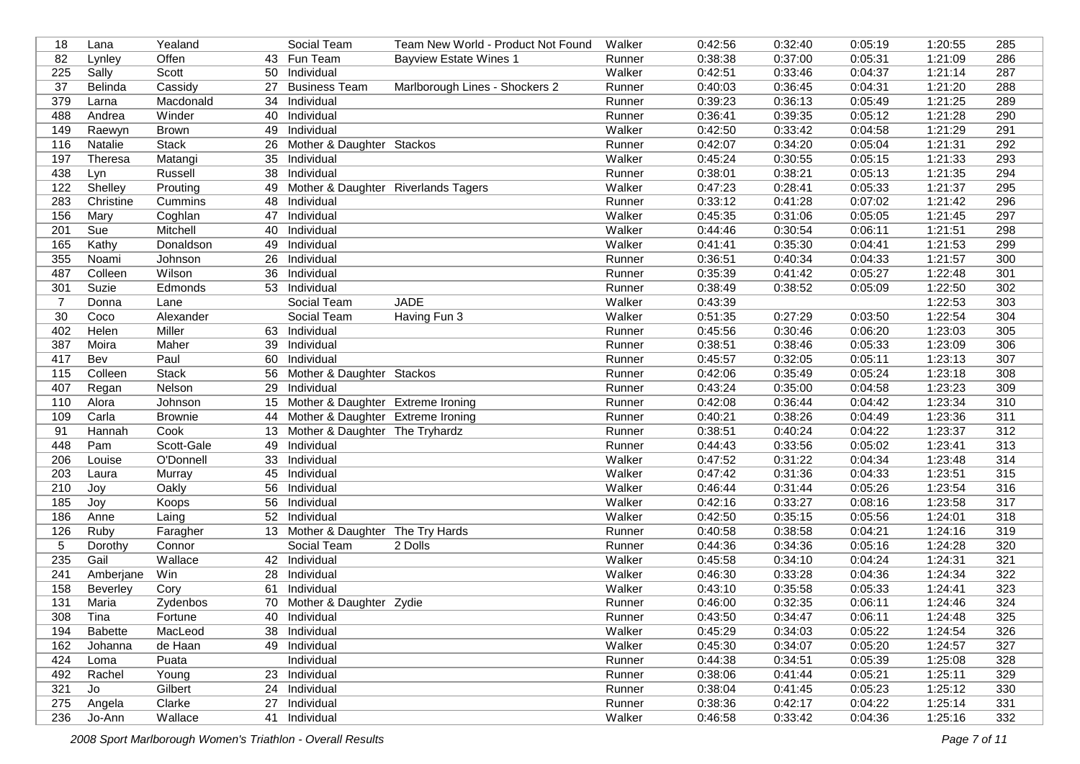| 18              | Lana           | Yealand        |    | Social Team                            | Team New World - Product Not Found | Walker | 0:42:56 | 0:32:40 | 0:05:19 | 1:20:55 | 285 |
|-----------------|----------------|----------------|----|----------------------------------------|------------------------------------|--------|---------|---------|---------|---------|-----|
| 82              | Lynley         | Offen          |    | 43 Fun Team                            | <b>Bayview Estate Wines 1</b>      | Runner | 0:38:38 | 0:37:00 | 0:05:31 | 1:21:09 | 286 |
| 225             | Sally          | Scott          | 50 | Individual                             |                                    | Walker | 0:42:51 | 0:33:46 | 0:04:37 | 1:21:14 | 287 |
| $\overline{37}$ | Belinda        | Cassidy        | 27 | <b>Business Team</b>                   | Marlborough Lines - Shockers 2     | Runner | 0:40:03 | 0:36:45 | 0:04:31 | 1:21:20 | 288 |
| 379             | Larna          | Macdonald      | 34 | Individual                             |                                    | Runner | 0:39:23 | 0:36:13 | 0:05:49 | 1:21:25 | 289 |
| 488             | Andrea         | Winder         | 40 | Individual                             |                                    | Runner | 0:36:41 | 0:39:35 | 0:05:12 | 1:21:28 | 290 |
| 149             | Raewyn         | <b>Brown</b>   | 49 | Individual                             |                                    | Walker | 0:42:50 | 0:33:42 | 0:04:58 | 1:21:29 | 291 |
| 116             | Natalie        | Stack          | 26 | Mother & Daughter Stackos              |                                    | Runner | 0:42:07 | 0:34:20 | 0:05:04 | 1:21:31 | 292 |
| 197             | Theresa        | Matangi        | 35 | Individual                             |                                    | Walker | 0:45:24 | 0:30:55 | 0:05:15 | 1:21:33 | 293 |
| 438             | Lyn            | Russell        | 38 | Individual                             |                                    | Runner | 0:38:01 | 0:38:21 | 0:05:13 | 1:21:35 | 294 |
| 122             | Shelley        | Prouting       |    | 49 Mother & Daughter Riverlands Tagers |                                    | Walker | 0:47:23 | 0:28:41 | 0:05:33 | 1:21:37 | 295 |
| 283             | Christine      | Cummins        |    | 48 Individual                          |                                    | Runner | 0:33:12 | 0:41:28 | 0:07:02 | 1:21:42 | 296 |
| 156             | Mary           | Coghlan        | 47 | Individual                             |                                    | Walker | 0:45:35 | 0:31:06 | 0:05:05 | 1:21:45 | 297 |
| 201             | Sue            | Mitchell       | 40 | Individual                             |                                    | Walker | 0:44:46 | 0:30:54 | 0:06:11 | 1:21:51 | 298 |
| 165             | Kathy          | Donaldson      | 49 | Individual                             |                                    | Walker | 0:41:41 | 0:35:30 | 0:04:41 | 1:21:53 | 299 |
| 355             | Noami          | Johnson        | 26 | Individual                             |                                    | Runner | 0:36:51 | 0:40:34 | 0:04:33 | 1:21:57 | 300 |
| 487             | Colleen        | Wilson         | 36 | Individual                             |                                    | Runner | 0:35:39 | 0:41:42 | 0:05:27 | 1:22:48 | 301 |
| 301             | Suzie          | Edmonds        | 53 | Individual                             |                                    | Runner | 0:38:49 | 0:38:52 | 0:05:09 | 1:22:50 | 302 |
| $\overline{7}$  | Donna          | Lane           |    | Social Team                            | <b>JADE</b>                        | Walker | 0:43:39 |         |         | 1:22:53 | 303 |
| 30              | Coco           | Alexander      |    | Social Team                            | Having Fun 3                       | Walker | 0:51:35 | 0:27:29 | 0:03:50 | 1:22:54 | 304 |
| 402             | Helen          | Miller         | 63 | Individual                             |                                    | Runner | 0:45:56 | 0:30:46 | 0:06:20 | 1:23:03 | 305 |
| 387             | Moira          | Maher          | 39 | Individual                             |                                    | Runner | 0:38:51 | 0:38:46 | 0:05:33 | 1:23:09 | 306 |
| 417             | Bev            | Paul           | 60 | Individual                             |                                    | Runner | 0:45:57 | 0:32:05 | 0:05:11 | 1:23:13 | 307 |
| 115             | Colleen        | <b>Stack</b>   | 56 | Mother & Daughter Stackos              |                                    | Runner | 0:42:06 | 0:35:49 | 0:05:24 | 1:23:18 | 308 |
| 407             | Regan          | Nelson         | 29 | Individual                             |                                    | Runner | 0:43:24 | 0:35:00 | 0:04:58 | 1:23:23 | 309 |
| 110             | Alora          | Johnson        |    | 15 Mother & Daughter Extreme Ironing   |                                    | Runner | 0:42:08 | 0:36:44 | 0:04:42 | 1:23:34 | 310 |
| 109             | Carla          | <b>Brownie</b> | 44 | Mother & Daughter Extreme Ironing      |                                    | Runner | 0:40:21 | 0:38:26 | 0:04:49 | 1:23:36 | 311 |
| 91              | Hannah         | Cook           |    | 13 Mother & Daughter The Tryhardz      |                                    | Runner | 0:38:51 | 0:40:24 | 0:04:22 | 1:23:37 | 312 |
| 448             | Pam            | Scott-Gale     | 49 | Individual                             |                                    | Runner | 0:44:43 | 0:33:56 | 0:05:02 | 1:23:41 | 313 |
| 206             | Louise         | O'Donnell      | 33 | Individual                             |                                    | Walker | 0:47:52 | 0:31:22 | 0:04:34 | 1:23:48 | 314 |
| 203             | Laura          | Murray         | 45 | Individual                             |                                    | Walker | 0:47:42 | 0:31:36 | 0:04:33 | 1:23:51 | 315 |
| 210             | Joy            | Oakly          | 56 | Individual                             |                                    | Walker | 0:46:44 | 0:31:44 | 0:05:26 | 1:23:54 | 316 |
| 185             | Joy            | Koops          | 56 | Individual                             |                                    | Walker | 0:42:16 | 0:33:27 | 0:08:16 | 1:23:58 | 317 |
| 186             | Anne           | Laing          |    | 52 Individual                          |                                    | Walker | 0:42:50 | 0:35:15 | 0:05:56 | 1:24:01 | 318 |
| 126             | Ruby           | Faragher       |    | 13 Mother & Daughter The Try Hards     |                                    | Runner | 0:40:58 | 0:38:58 | 0:04:21 | 1:24:16 | 319 |
| 5               | Dorothy        | Connor         |    | Social Team                            | 2 Dolls                            | Runner | 0:44:36 | 0:34:36 | 0:05:16 | 1:24:28 | 320 |
| 235             | Gail           | Wallace        |    | 42 Individual                          |                                    | Walker | 0:45:58 | 0:34:10 | 0:04:24 | 1:24:31 | 321 |
| 241             | Amberjane      | Win            |    | 28 Individual                          |                                    | Walker | 0:46:30 | 0:33:28 | 0:04:36 | 1:24:34 | 322 |
| 158             | Beverley       | Cory           | 61 | Individual                             |                                    | Walker | 0:43:10 | 0:35:58 | 0:05:33 | 1:24:41 | 323 |
| 131             | Maria          | Zydenbos       |    | 70 Mother & Daughter Zydie             |                                    | Runner | 0:46:00 | 0:32:35 | 0:06:11 | 1:24:46 | 324 |
|                 |                |                |    |                                        |                                    |        |         |         |         |         |     |
| 308             | Tina           | Fortune        |    | 40 Individual                          |                                    | Runner | 0:43:50 | 0:34:47 | 0:06:11 | 1:24:48 | 325 |
| 194             | <b>Babette</b> | MacLeod        |    | 38 Individual                          |                                    | Walker | 0:45:29 | 0:34:03 | 0:05:22 | 1:24:54 | 326 |
| 162             | Johanna        | de Haan        |    | 49 Individual                          |                                    | Walker | 0:45:30 | 0:34:07 | 0:05:20 | 1:24:57 | 327 |
| 424             | Loma           | Puata          |    | Individual                             |                                    | Runner | 0:44:38 | 0:34:51 | 0:05:39 | 1:25:08 | 328 |
| 492             | Rachel         | Young          |    | 23 Individual                          |                                    | Runner | 0:38:06 | 0:41:44 | 0:05:21 | 1:25:11 | 329 |
| 321             | Jo             | Gilbert        |    | 24 Individual                          |                                    | Runner | 0:38:04 | 0:41:45 | 0:05:23 | 1:25:12 | 330 |
| 275             | Angela         | Clarke         |    | 27 Individual                          |                                    | Runner | 0:38:36 | 0:42:17 | 0:04:22 | 1:25:14 | 331 |
| 236             | Jo-Ann         | Wallace        |    | 41 Individual                          |                                    | Walker | 0:46:58 | 0:33:42 | 0:04:36 | 1:25:16 | 332 |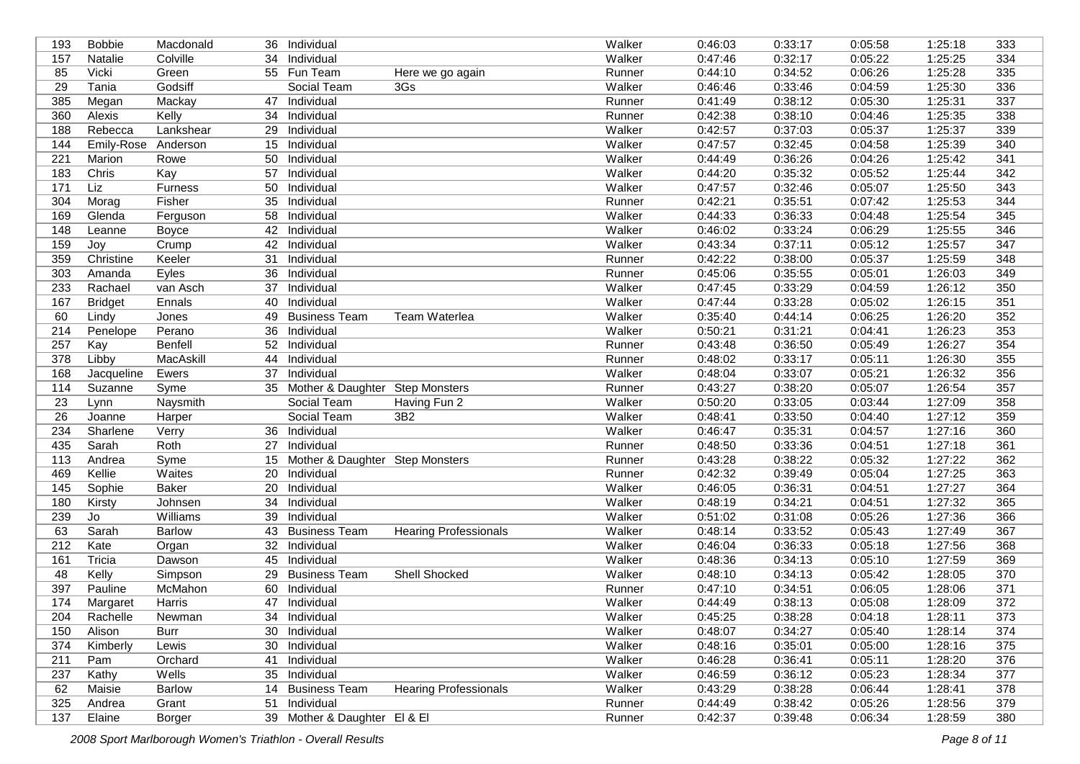| 193 | <b>Bobbie</b>  | Macdonald     |    | 36 Individual                      |                              | Walker | 0:46:03 | 0:33:17 | 0:05:58 | 1:25:18 | 333              |
|-----|----------------|---------------|----|------------------------------------|------------------------------|--------|---------|---------|---------|---------|------------------|
| 157 | Natalie        | Colville      | 34 | Individual                         |                              | Walker | 0:47:46 | 0:32:17 | 0:05:22 | 1:25:25 | 334              |
| 85  | Vicki          | Green         |    | 55 Fun Team                        | Here we go again             | Runner | 0:44:10 | 0:34:52 | 0:06:26 | 1:25:28 | 335              |
| 29  | Tania          | Godsiff       |    | Social Team                        | 3Gs                          | Walker | 0:46:46 | 0:33:46 | 0:04:59 | 1:25:30 | 336              |
| 385 | Megan          | Mackay        | 47 | Individual                         |                              | Runner | 0:41:49 | 0:38:12 | 0:05:30 | 1:25:31 | 337              |
| 360 | Alexis         | Kelly         | 34 | Individual                         |                              | Runner | 0:42:38 | 0:38:10 | 0:04:46 | 1:25:35 | 338              |
| 188 | Rebecca        | Lankshear     | 29 | Individual                         |                              | Walker | 0:42:57 | 0:37:03 | 0:05:37 | 1:25:37 | 339              |
| 144 | Emily-Rose     | Anderson      | 15 | Individual                         |                              | Walker | 0:47:57 | 0:32:45 | 0:04:58 | 1:25:39 | 340              |
| 221 | Marion         | Rowe          | 50 | Individual                         |                              | Walker | 0:44:49 | 0:36:26 | 0:04:26 | 1:25:42 | 341              |
| 183 | Chris          | Kay           | 57 | Individual                         |                              | Walker | 0:44:20 | 0:35:32 | 0:05:52 | 1:25:44 | 342              |
| 171 | Liz            | Furness       | 50 | Individual                         |                              | Walker | 0:47:57 | 0:32:46 | 0:05:07 | 1:25:50 | 343              |
| 304 | Morag          | Fisher        | 35 | Individual                         |                              | Runner | 0:42:21 | 0:35:51 | 0:07:42 | 1:25:53 | 344              |
| 169 | Glenda         | Ferguson      |    | 58 Individual                      |                              | Walker | 0:44:33 | 0:36:33 | 0:04:48 | 1:25:54 | 345              |
| 148 | Leanne         | <b>Boyce</b>  | 42 | Individual                         |                              | Walker | 0:46:02 | 0:33:24 | 0:06:29 | 1:25:55 | 346              |
| 159 | Joy            | Crump         | 42 | Individual                         |                              | Walker | 0:43:34 | 0:37:11 | 0:05:12 | 1:25:57 | 347              |
| 359 | Christine      | Keeler        | 31 | Individual                         |                              | Runner | 0:42:22 | 0:38:00 | 0:05:37 | 1:25:59 | 348              |
| 303 | Amanda         | Eyles         | 36 | Individual                         |                              | Runner | 0:45:06 | 0:35:55 | 0:05:01 | 1:26:03 | 349              |
| 233 | Rachael        | van Asch      | 37 | Individual                         |                              | Walker | 0:47:45 | 0:33:29 | 0:04:59 | 1:26:12 | 350              |
| 167 | <b>Bridget</b> | Ennals        | 40 | Individual                         |                              | Walker | 0:47:44 | 0:33:28 | 0:05:02 | 1:26:15 | 351              |
| 60  | Lindy          | Jones         | 49 | <b>Business Team</b>               | <b>Team Waterlea</b>         | Walker | 0:35:40 | 0:44:14 | 0:06:25 | 1:26:20 | 352              |
| 214 | Penelope       | Perano        | 36 | Individual                         |                              | Walker | 0:50:21 | 0:31:21 | 0:04:41 | 1:26:23 | $\overline{353}$ |
| 257 | Kay            | Benfell       | 52 | Individual                         |                              | Runner | 0:43:48 | 0:36:50 | 0:05:49 | 1:26:27 | 354              |
| 378 | Libby          | MacAskill     | 44 | Individual                         |                              | Runner | 0:48:02 | 0:33:17 | 0:05:11 | 1:26:30 | 355              |
| 168 | Jacqueline     | Ewers         | 37 | Individual                         |                              | Walker | 0:48:04 | 0:33:07 | 0:05:21 | 1:26:32 | 356              |
| 114 | Suzanne        | Syme          |    | 35 Mother & Daughter Step Monsters |                              | Runner | 0:43:27 | 0:38:20 | 0:05:07 | 1:26:54 | 357              |
| 23  | Lynn           | Naysmith      |    | Social Team                        | Having Fun 2                 | Walker | 0:50:20 | 0:33:05 | 0:03:44 | 1:27:09 | 358              |
| 26  | Joanne         | Harper        |    | Social Team                        | 3B <sub>2</sub>              | Walker | 0:48:41 | 0:33:50 | 0:04:40 | 1:27:12 | 359              |
| 234 | Sharlene       | Verry         |    | 36 Individual                      |                              | Walker | 0:46:47 | 0:35:31 | 0:04:57 | 1:27:16 | 360              |
| 435 | Sarah          | Roth          | 27 | Individual                         |                              | Runner | 0:48:50 | 0:33:36 | 0:04:51 | 1:27:18 | 361              |
| 113 | Andrea         | Syme          | 15 | Mother & Daughter Step Monsters    |                              | Runner | 0:43:28 | 0:38:22 | 0:05:32 | 1:27:22 | 362              |
| 469 | Kellie         | Waites        | 20 | Individual                         |                              | Runner | 0:42:32 | 0:39:49 | 0:05:04 | 1:27:25 | 363              |
| 145 | Sophie         | <b>Baker</b>  | 20 | Individual                         |                              | Walker | 0:46:05 | 0:36:31 | 0:04:51 | 1:27:27 | 364              |
| 180 | Kirsty         | Johnsen       | 34 | Individual                         |                              | Walker | 0:48:19 | 0:34:21 | 0:04:51 | 1:27:32 | 365              |
| 239 | Jo             | Williams      | 39 | Individual                         |                              | Walker | 0:51:02 | 0:31:08 | 0:05:26 | 1:27:36 | 366              |
| 63  | Sarah          | <b>Barlow</b> | 43 | <b>Business Team</b>               | <b>Hearing Professionals</b> | Walker | 0:48:14 | 0:33:52 | 0:05:43 | 1:27:49 | 367              |
| 212 | Kate           | Organ         | 32 | Individual                         |                              | Walker | 0:46:04 | 0:36:33 | 0:05:18 | 1:27:56 | 368              |
| 161 | Tricia         | Dawson        | 45 | Individual                         |                              | Walker | 0:48:36 | 0:34:13 | 0:05:10 | 1:27:59 | 369              |
| 48  | Kelly          | Simpson       | 29 | <b>Business Team</b>               | <b>Shell Shocked</b>         | Walker | 0:48:10 | 0:34:13 | 0:05:42 | 1:28:05 | 370              |
| 397 | Pauline        | McMahon       | 60 | Individual                         |                              | Runner | 0:47:10 | 0:34:51 | 0:06:05 | 1:28:06 | $\overline{371}$ |
| 174 | Margaret       | Harris        | 47 | Individual                         |                              | Walker | 0:44:49 | 0:38:13 | 0:05:08 | 1:28:09 | 372              |
| 204 | Rachelle       | Newman        |    | 34 Individual                      |                              | Walker | 0:45:25 | 0:38:28 | 0:04:18 | 1:28:11 | 373              |
| 150 | Alison         | Burr          |    | 30 Individual                      |                              | Walker | 0:48:07 | 0:34:27 | 0:05:40 | 1:28:14 | 374              |
| 374 | Kimberly       | Lewis         |    | 30 Individual                      |                              | Walker | 0:48:16 | 0:35:01 | 0:05:00 | 1:28:16 | 375              |
| 211 | Pam            | Orchard       | 41 | Individual                         |                              | Walker | 0:46:28 | 0:36:41 | 0:05:11 | 1:28:20 | 376              |
| 237 | Kathy          | Wells         |    | 35 Individual                      |                              | Walker | 0:46:59 | 0:36:12 | 0:05:23 | 1:28:34 | 377              |
| 62  | Maisie         | Barlow        |    | 14 Business Team                   | <b>Hearing Professionals</b> | Walker | 0:43:29 | 0:38:28 | 0:06:44 | 1:28:41 | 378              |
| 325 | Andrea         | Grant         | 51 | Individual                         |                              | Runner | 0:44:49 | 0:38:42 | 0:05:26 | 1:28:56 | 379              |
| 137 | Elaine         | Borger        |    | 39 Mother & Daughter El & El       |                              | Runner | 0:42:37 | 0:39:48 | 0:06:34 | 1:28:59 | 380              |
|     |                |               |    |                                    |                              |        |         |         |         |         |                  |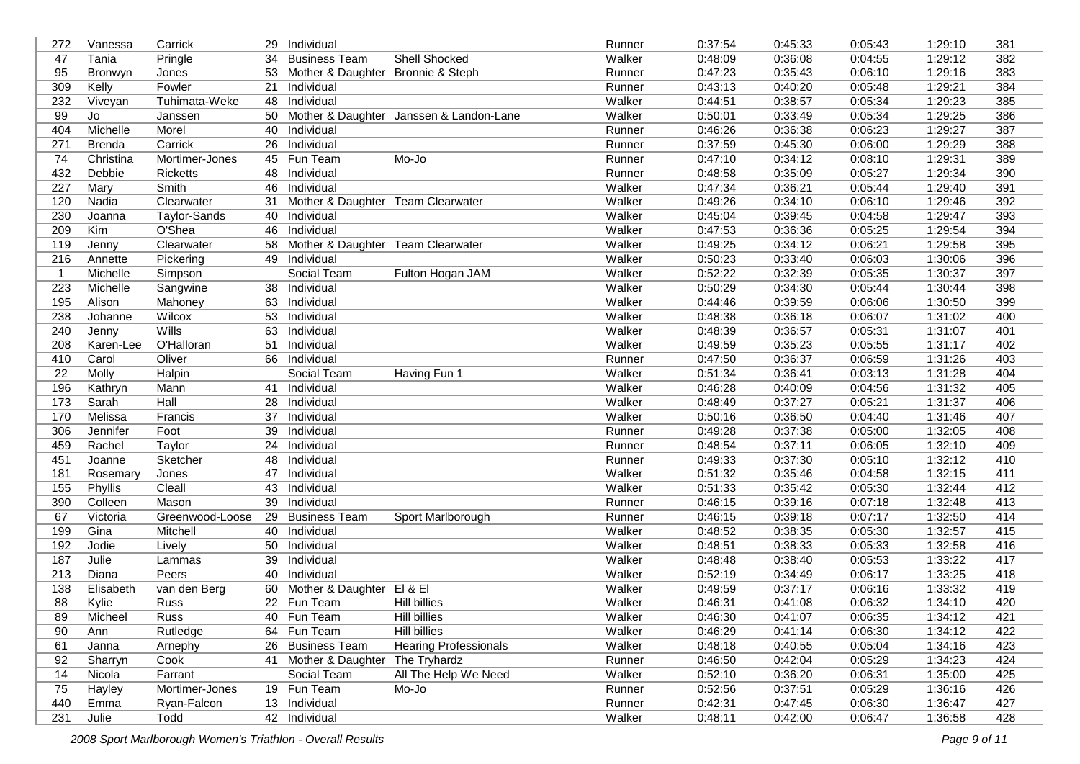| 272 | Vanessa       | Carrick           |    | 29 Individual                     |                                            | Runner | 0:37:54 | 0:45:33 | 0:05:43 | 1:29:10 | 381 |
|-----|---------------|-------------------|----|-----------------------------------|--------------------------------------------|--------|---------|---------|---------|---------|-----|
| 47  | Tania         | Pringle           | 34 | <b>Business Team</b>              | <b>Shell Shocked</b>                       | Walker | 0:48:09 | 0:36:08 | 0:04:55 | 1:29:12 | 382 |
| 95  | Bronwyn       | Jones             | 53 | Mother & Daughter Bronnie & Steph |                                            | Runner | 0:47:23 | 0:35:43 | 0:06:10 | 1:29:16 | 383 |
| 309 | Kelly         | Fowler            | 21 | Individual                        |                                            | Runner | 0:43:13 | 0:40:20 | 0:05:48 | 1:29:21 | 384 |
| 232 | Viveyan       | Tuhimata-Weke     | 48 | Individual                        |                                            | Walker | 0:44:51 | 0:38:57 | 0:05:34 | 1:29:23 | 385 |
| 99  | Jo            | Janssen           |    |                                   | 50 Mother & Daughter Janssen & Landon-Lane | Walker | 0:50:01 | 0:33:49 | 0:05:34 | 1:29:25 | 386 |
| 404 | Michelle      | Morel             | 40 | Individual                        |                                            | Runner | 0:46:26 | 0:36:38 | 0:06:23 | 1:29:27 | 387 |
| 271 | <b>Brenda</b> | Carrick           | 26 | Individual                        |                                            | Runner | 0:37:59 | 0:45:30 | 0:06:00 | 1:29:29 | 388 |
| 74  | Christina     | Mortimer-Jones    |    | 45 Fun Team                       | Mo-Jo                                      | Runner | 0:47:10 | 0:34:12 | 0:08:10 | 1:29:31 | 389 |
| 432 | Debbie        | <b>Ricketts</b>   | 48 | Individual                        |                                            | Runner | 0:48:58 | 0:35:09 | 0:05:27 | 1:29:34 | 390 |
| 227 | Mary          | Smith             | 46 | Individual                        |                                            | Walker | 0:47:34 | 0:36:21 | 0:05:44 | 1:29:40 | 391 |
| 120 | Nadia         | Clearwater        | 31 | Mother & Daughter Team Clearwater |                                            | Walker | 0:49:26 | 0:34:10 | 0:06:10 | 1:29:46 | 392 |
| 230 | Joanna        | Taylor-Sands      |    | 40 Individual                     |                                            | Walker | 0:45:04 | 0:39:45 | 0:04:58 | 1:29:47 | 393 |
| 209 | Kim           | O'Shea            | 46 | Individual                        |                                            | Walker | 0:47:53 | 0:36:36 | 0:05:25 | 1:29:54 | 394 |
| 119 | Jenny         | Clearwater        | 58 | Mother & Daughter Team Clearwater |                                            | Walker | 0:49:25 | 0:34:12 | 0:06:21 | 1:29:58 | 395 |
| 216 | Annette       | Pickering         | 49 | Individual                        |                                            | Walker | 0:50:23 | 0:33:40 | 0:06:03 | 1:30:06 | 396 |
| -1  | Michelle      | Simpson           |    | Social Team                       | Fulton Hogan JAM                           | Walker | 0:52:22 | 0:32:39 | 0:05:35 | 1:30:37 | 397 |
| 223 | Michelle      | Sangwine          | 38 | Individual                        |                                            | Walker | 0:50:29 | 0:34:30 | 0:05:44 | 1:30:44 | 398 |
| 195 | Alison        | Mahoney           | 63 | Individual                        |                                            | Walker | 0:44:46 | 0:39:59 | 0:06:06 | 1:30:50 | 399 |
| 238 | Johanne       | Wilcox            | 53 | Individual                        |                                            | Walker | 0:48:38 | 0:36:18 | 0:06:07 | 1:31:02 | 400 |
| 240 | Jenny         | Wills             | 63 | Individual                        |                                            | Walker | 0:48:39 | 0:36:57 | 0:05:31 | 1:31:07 | 401 |
| 208 | Karen-Lee     | <b>O'Halloran</b> | 51 | Individual                        |                                            | Walker | 0:49:59 | 0:35:23 | 0:05:55 | 1:31:17 | 402 |
| 410 | Carol         | Oliver            | 66 | Individual                        |                                            | Runner | 0:47:50 | 0:36:37 | 0:06:59 | 1:31:26 | 403 |
| 22  | Molly         | Halpin            |    | Social Team                       | Having Fun 1                               | Walker | 0:51:34 | 0:36:41 | 0:03:13 | 1:31:28 | 404 |
| 196 | Kathryn       | Mann              |    | 41 Individual                     |                                            | Walker | 0:46:28 | 0:40:09 | 0:04:56 | 1:31:32 | 405 |
| 173 | Sarah         | Hall              | 28 | Individual                        |                                            | Walker | 0:48:49 | 0:37:27 | 0:05:21 | 1:31:37 | 406 |
| 170 | Melissa       | Francis           | 37 | Individual                        |                                            | Walker | 0:50:16 | 0:36:50 | 0:04:40 | 1:31:46 | 407 |
| 306 | Jennifer      | Foot              | 39 | Individual                        |                                            | Runner | 0:49:28 | 0:37:38 | 0:05:00 | 1:32:05 | 408 |
| 459 | Rachel        | <b>Taylor</b>     | 24 | Individual                        |                                            | Runner | 0:48:54 | 0:37:11 | 0:06:05 | 1:32:10 | 409 |
| 451 | Joanne        | Sketcher          | 48 | Individual                        |                                            | Runner | 0:49:33 | 0:37:30 | 0:05:10 | 1:32:12 | 410 |
| 181 | Rosemary      | Jones             | 47 | Individual                        |                                            | Walker | 0:51:32 | 0:35:46 | 0:04:58 | 1:32:15 | 411 |
| 155 | Phyllis       | Cleall            | 43 | Individual                        |                                            | Walker | 0:51:33 | 0:35:42 | 0:05:30 | 1:32:44 | 412 |
| 390 | Colleen       | Mason             | 39 | Individual                        |                                            | Runner | 0:46:15 | 0:39:16 | 0:07:18 | 1:32:48 | 413 |
| 67  | Victoria      | Greenwood-Loose   | 29 | <b>Business Team</b>              | Sport Marlborough                          | Runner | 0:46:15 | 0:39:18 | 0:07:17 | 1:32:50 | 414 |
| 199 | Gina          | Mitchell          | 40 | Individual                        |                                            | Walker | 0:48:52 | 0:38:35 | 0:05:30 | 1:32:57 | 415 |
| 192 | Jodie         | Lively            | 50 | Individual                        |                                            | Walker | 0:48:51 | 0:38:33 | 0:05:33 | 1:32:58 | 416 |
| 187 | Julie         | Lammas            | 39 | Individual                        |                                            | Walker | 0:48:48 | 0:38:40 | 0:05:53 | 1:33:22 | 417 |
| 213 | Diana         | Peers             | 40 | Individual                        |                                            | Walker | 0:52:19 | 0:34:49 | 0:06:17 | 1:33:25 | 418 |
| 138 | Elisabeth     | van den Berg      | 60 | Mother & Daughter El & El         |                                            | Walker | 0:49:59 | 0:37:17 | 0:06:16 | 1:33:32 | 419 |
| 88  | Kylie         | Russ              |    | 22 Fun Team                       | <b>Hill billies</b>                        | Walker | 0:46:31 | 0:41:08 | 0:06:32 | 1:34:10 | 420 |
| 89  | Micheel       | Russ              |    | 40 Fun Team                       | Hill billies                               | Walker | 0:46:30 | 0:41:07 | 0:06:35 | 1:34:12 | 421 |
| 90  | Ann           | Rutledge          |    | 64 Fun Team                       | Hill billies                               | Walker | 0:46:29 | 0:41:14 | 0:06:30 | 1:34:12 | 422 |
| 61  | Janna         | Arnephy           |    | 26 Business Team                  | <b>Hearing Professionals</b>               | Walker | 0:48:18 | 0:40:55 | 0:05:04 | 1:34:16 | 423 |
| 92  | Sharryn       | Cook              |    | 41 Mother & Daughter              | The Tryhardz                               | Runner | 0:46:50 | 0:42:04 | 0:05:29 | 1:34:23 | 424 |
| 14  | Nicola        | Farrant           |    | Social Team                       | All The Help We Need                       | Walker | 0:52:10 | 0:36:20 | 0:06:31 | 1:35:00 | 425 |
| 75  | Hayley        | Mortimer-Jones    |    | 19 Fun Team                       | Mo-Jo                                      | Runner | 0:52:56 | 0:37:51 | 0:05:29 | 1:36:16 | 426 |
| 440 | Emma          | Ryan-Falcon       |    | 13 Individual                     |                                            | Runner | 0:42:31 | 0:47:45 | 0:06:30 | 1:36:47 | 427 |
| 231 | Julie         | Todd              |    | 42 Individual                     |                                            | Walker | 0:48:11 | 0:42:00 | 0:06:47 | 1:36:58 | 428 |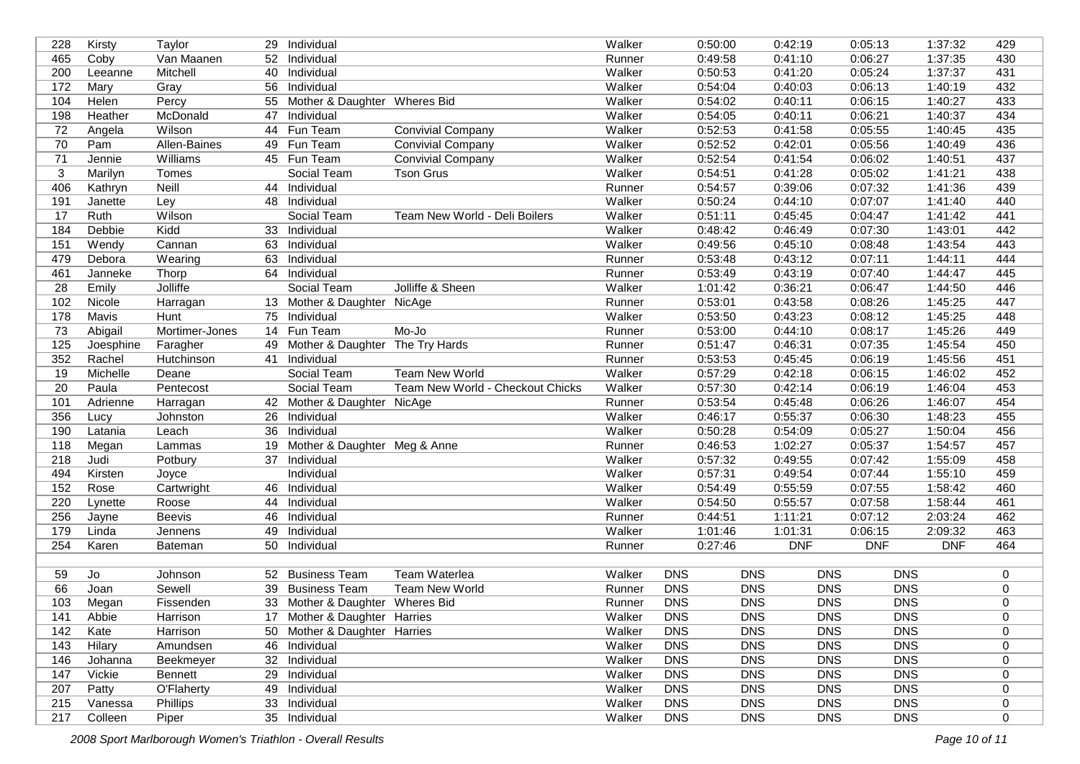| 228 | Kirsty    | Taylor         |    | 29 Individual                   |                                  | Walker | 0:50:00    | 0:42:19    |            | 0:05:13    | 1:37:32    | 429         |
|-----|-----------|----------------|----|---------------------------------|----------------------------------|--------|------------|------------|------------|------------|------------|-------------|
| 465 | Coby      | Van Maanen     | 52 | Individual                      |                                  | Runner | 0:49:58    | 0:41:10    |            | 0:06:27    | 1:37:35    | 430         |
| 200 | Leeanne   | Mitchell       | 40 | Individual                      |                                  | Walker | 0:50:53    | 0:41:20    |            | 0:05:24    | 1:37:37    | 431         |
| 172 | Mary      | Gray           | 56 | Individual                      |                                  | Walker | 0:54:04    | 0:40:03    |            | 0:06:13    | 1:40:19    | 432         |
| 104 | Helen     | Percy          | 55 | Mother & Daughter Wheres Bid    |                                  | Walker | 0:54:02    | 0:40:11    |            | 0:06:15    | 1:40:27    | 433         |
| 198 | Heather   | McDonald       | 47 | Individual                      |                                  | Walker | 0:54:05    | 0:40:11    |            | 0:06:21    | 1:40:37    | 434         |
| 72  | Angela    | Wilson         |    | 44 Fun Team                     | <b>Convivial Company</b>         | Walker | 0:52:53    | 0:41:58    |            | 0:05:55    | 1:40:45    | 435         |
| 70  | Pam       | Allen-Baines   | 49 | Fun Team                        | <b>Convivial Company</b>         | Walker | 0:52:52    | 0:42:01    |            | 0:05:56    | 1:40:49    | 436         |
| 71  | Jennie    | Williams       |    | 45 Fun Team                     | <b>Convivial Company</b>         | Walker | 0:52:54    | 0:41:54    |            | 0:06:02    | 1:40:51    | 437         |
| 3   | Marilyn   | Tomes          |    | Social Team                     | <b>Tson Grus</b>                 | Walker | 0:54:51    | 0:41:28    |            | 0:05:02    | 1:41:21    | 438         |
| 406 | Kathryn   | Neill          |    | 44 Individual                   |                                  | Runner | 0:54:57    | 0:39:06    |            | 0:07:32    | 1:41:36    | 439         |
| 191 | Janette   | Ley            |    | 48 Individual                   |                                  | Walker | 0:50:24    | 0:44:10    |            | 0:07:07    | 1:41:40    | 440         |
| 17  | Ruth      | Wilson         |    | Social Team                     | Team New World - Deli Boilers    | Walker | 0:51:11    | 0:45:45    |            | 0:04:47    | 1:41:42    | 441         |
| 184 | Debbie    | Kidd           |    | 33 Individual                   |                                  | Walker | 0:48:42    | 0:46:49    |            | 0:07:30    | 1:43:01    | 442         |
| 151 | Wendy     | Cannan         |    | 63 Individual                   |                                  | Walker | 0:49:56    | 0:45:10    |            | 0:08:48    | 1:43:54    | 443         |
| 479 | Debora    | Wearing        | 63 | Individual                      |                                  | Runner | 0:53:48    | 0:43:12    |            | 0:07:11    | 1:44:11    | 444         |
| 461 | Janneke   | Thorp          |    | 64 Individual                   |                                  | Runner | 0:53:49    | 0:43:19    |            | 0:07:40    | 1:44:47    | 445         |
| 28  | Emily     | Jolliffe       |    | Social Team                     | Jolliffe & Sheen                 | Walker | 1:01:42    | 0:36:21    |            | 0:06:47    | 1:44:50    | 446         |
| 102 | Nicole    | Harragan       |    | 13 Mother & Daughter NicAge     |                                  | Runner | 0:53:01    | 0:43:58    |            | 0:08:26    | 1:45:25    | 447         |
| 178 | Mavis     | Hunt           | 75 | Individual                      |                                  | Walker | 0:53:50    | 0:43:23    |            | 0:08:12    | 1:45:25    | 448         |
| 73  | Abigail   | Mortimer-Jones |    | 14 Fun Team                     | Mo-Jo                            | Runner | 0:53:00    | 0:44:10    |            | 0:08:17    | 1:45:26    | 449         |
| 125 | Joesphine | Faragher       | 49 | Mother & Daughter The Try Hards |                                  | Runner | 0:51:47    | 0:46:31    |            | 0:07:35    | 1:45:54    | 450         |
| 352 | Rachel    | Hutchinson     | 41 | Individual                      |                                  | Runner | 0:53:53    | 0:45:45    |            | 0:06:19    | 1:45:56    | 451         |
| 19  | Michelle  | Deane          |    | Social Team                     | <b>Team New World</b>            | Walker | 0:57:29    | 0:42:18    |            | 0:06:15    | 1:46:02    | 452         |
| 20  | Paula     | Pentecost      |    | Social Team                     | Team New World - Checkout Chicks | Walker | 0:57:30    | 0:42:14    |            | 0:06:19    | 1:46:04    | 453         |
| 101 | Adrienne  | Harragan       |    | 42 Mother & Daughter NicAge     |                                  | Runner | 0:53:54    | 0:45:48    |            | 0:06:26    | 1:46:07    | 454         |
| 356 | Lucy      | Johnston       |    | 26 Individual                   |                                  | Walker | 0:46:17    | 0:55:37    |            | 0:06:30    | 1:48:23    | 455         |
| 190 | Latania   | Leach          |    | 36 Individual                   |                                  | Walker | 0:50:28    | 0:54:09    |            | 0:05:27    | 1:50:04    | 456         |
| 118 | Megan     | Lammas         | 19 | Mother & Daughter Meg & Anne    |                                  | Runner | 0:46:53    | 1:02:27    |            | 0:05:37    | 1:54:57    | 457         |
| 218 | Judi      | Potbury        | 37 | Individual                      |                                  | Walker | 0:57:32    | 0:49:55    |            | 0:07:42    | 1:55:09    | 458         |
| 494 | Kirsten   | Joyce          |    | Individual                      |                                  | Walker | 0:57:31    | 0:49:54    |            | 0:07:44    | 1:55:10    | 459         |
| 152 | Rose      | Cartwright     | 46 | Individual                      |                                  | Walker | 0:54:49    | 0:55:59    |            | 0:07:55    | 1:58:42    | 460         |
| 220 | Lynette   | Roose          | 44 | Individual                      |                                  | Walker | 0:54:50    | 0:55:57    |            | 0:07:58    | 1:58:44    | 461         |
| 256 | Jayne     | <b>Beevis</b>  | 46 | Individual                      |                                  | Runner | 0:44:51    | 1:11:21    |            | 0:07:12    | 2:03:24    | 462         |
| 179 | Linda     | Jennens        | 49 | Individual                      |                                  | Walker | 1:01:46    | 1:01:31    |            | 0:06:15    | 2:09:32    | 463         |
| 254 | Karen     | Bateman        |    | 50 Individual                   |                                  | Runner | 0:27:46    | <b>DNF</b> |            | <b>DNF</b> | <b>DNF</b> | 464         |
|     |           |                |    |                                 |                                  |        |            |            |            |            |            |             |
| 59  | Jo        | Johnson        |    | 52 Business Team                | <b>Team Waterlea</b>             | Walker | <b>DNS</b> | <b>DNS</b> | <b>DNS</b> | <b>DNS</b> |            | 0           |
| 66  | Joan      | Sewell         | 39 | <b>Business Team</b>            | <b>Team New World</b>            | Runner | <b>DNS</b> | <b>DNS</b> | <b>DNS</b> | <b>DNS</b> |            | 0           |
| 103 | Megan     | Fissenden      |    | 33 Mother & Daughter Wheres Bid |                                  | Runner | <b>DNS</b> | <b>DNS</b> | <b>DNS</b> | <b>DNS</b> |            | 0           |
| 141 | Abbie     | Harrison       |    | 17 Mother & Daughter Harries    |                                  | Walker | <b>DNS</b> | <b>DNS</b> | <b>DNS</b> | <b>DNS</b> |            | 0           |
| 142 | Kate      | Harrison       |    | 50 Mother & Daughter Harries    |                                  | Walker | <b>DNS</b> | <b>DNS</b> | <b>DNS</b> | <b>DNS</b> |            | 0           |
| 143 | Hilary    | Amundsen       |    | 46 Individual                   |                                  | Walker | <b>DNS</b> | <b>DNS</b> | <b>DNS</b> | <b>DNS</b> |            | 0           |
| 146 | Johanna   | Beekmeyer      |    | 32 Individual                   |                                  | Walker | <b>DNS</b> | <b>DNS</b> | <b>DNS</b> | <b>DNS</b> |            | 0           |
| 147 | Vickie    | Bennett        |    | 29 Individual                   |                                  | Walker | <b>DNS</b> | <b>DNS</b> | <b>DNS</b> | <b>DNS</b> |            | 0           |
| 207 | Patty     | O'Flaherty     |    | 49 Individual                   |                                  | Walker | <b>DNS</b> | <b>DNS</b> | <b>DNS</b> | <b>DNS</b> |            | 0           |
| 215 | Vanessa   | Phillips       |    | 33 Individual                   |                                  | Walker | <b>DNS</b> | <b>DNS</b> | <b>DNS</b> | <b>DNS</b> |            | 0           |
| 217 | Colleen   | Piper          |    | 35 Individual                   |                                  | Walker | <b>DNS</b> | <b>DNS</b> | <b>DNS</b> | <b>DNS</b> |            | $\mathbf 0$ |